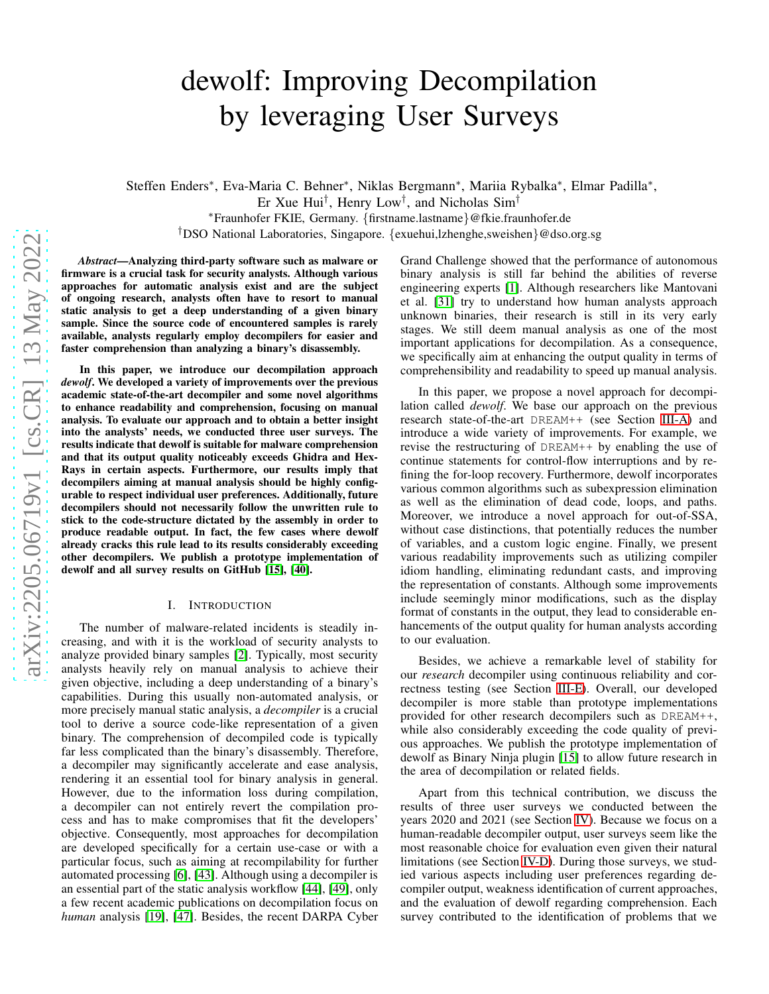# dewolf: Improving Decompilation by leveraging User Surveys

Steffen Enders<sup>\*</sup>, Eva-Maria C. Behner<sup>\*</sup>, Niklas Bergmann<sup>\*</sup>, Mariia Rybalka<sup>\*</sup>, Elmar Padilla<sup>\*</sup>, Er Xue Hui† , Henry Low† , and Nicholas Sim† <sup>∗</sup>Fraunhofer FKIE, Germany. {firstname.lastname}@fkie.fraunhofer.de †DSO National Laboratories, Singapore. {exuehui,lzhenghe,sweishen}@dso.org.sg

*Abstract*—Analyzing third-party software such as malware or firmware is a crucial task for security analysts. Although various approaches for automatic analysis exist and are the subject of ongoing research, analysts often have to resort to manual static analysis to get a deep understanding of a given binary sample. Since the source code of encountered samples is rarely available, analysts regularly employ decompilers for easier and faster comprehension than analyzing a binary's disassembly.

In this paper, we introduce our decompilation approach *dewolf*. We developed a variety of improvements over the previous academic state-of-the-art decompiler and some novel algorithms to enhance readability and comprehension, focusing on manual analysis. To evaluate our approach and to obtain a better insight into the analysts' needs, we conducted three user surveys. The results indicate that dewolf is suitable for malware comprehension and that its output quality noticeably exceeds Ghidra and Hex-Rays in certain aspects. Furthermore, our results imply that decompilers aiming at manual analysis should be highly configurable to respect individual user preferences. Additionally, future decompilers should not necessarily follow the unwritten rule to stick to the code-structure dictated by the assembly in order to produce readable output. In fact, the few cases where dewolf already cracks this rule lead to its results considerably exceeding other decompilers. We publish a prototype implementation of dewolf and all survey results on GitHub [\[15\]](#page-13-0), [\[40\]](#page-13-1).

#### I. INTRODUCTION

The number of malware-related incidents is steadily increasing, and with it is the workload of security analysts to analyze provided binary samples [\[2\]](#page-13-2). Typically, most security analysts heavily rely on manual analysis to achieve their given objective, including a deep understanding of a binary's capabilities. During this usually non-automated analysis, or more precisely manual static analysis, a *decompiler* is a crucial tool to derive a source code-like representation of a given binary. The comprehension of decompiled code is typically far less complicated than the binary's disassembly. Therefore, a decompiler may significantly accelerate and ease analysis, rendering it an essential tool for binary analysis in general. However, due to the information loss during compilation, a decompiler can not entirely revert the compilation process and has to make compromises that fit the developers' objective. Consequently, most approaches for decompilation are developed specifically for a certain use-case or with a particular focus, such as aiming at recompilability for further automated processing [\[6\]](#page-13-3), [\[43\]](#page-13-4). Although using a decompiler is an essential part of the static analysis workflow [\[44\]](#page-13-5), [\[49\]](#page-14-0), only a few recent academic publications on decompilation focus on *human* analysis [\[19\]](#page-13-6), [\[47\]](#page-13-7). Besides, the recent DARPA Cyber Grand Challenge showed that the performance of autonomous binary analysis is still far behind the abilities of reverse engineering experts [\[1\]](#page-13-8). Although researchers like Mantovani et al. [\[31\]](#page-13-9) try to understand how human analysts approach unknown binaries, their research is still in its very early stages. We still deem manual analysis as one of the most important applications for decompilation. As a consequence, we specifically aim at enhancing the output quality in terms of comprehensibility and readability to speed up manual analysis.

In this paper, we propose a novel approach for decompilation called *dewolf*. We base our approach on the previous research state-of-the-art DREAM++ (see Section [III-A\)](#page-2-0) and introduce a wide variety of improvements. For example, we revise the restructuring of DREAM++ by enabling the use of continue statements for control-flow interruptions and by refining the for-loop recovery. Furthermore, dewolf incorporates various common algorithms such as subexpression elimination as well as the elimination of dead code, loops, and paths. Moreover, we introduce a novel approach for out-of-SSA, without case distinctions, that potentially reduces the number of variables, and a custom logic engine. Finally, we present various readability improvements such as utilizing compiler idiom handling, eliminating redundant casts, and improving the representation of constants. Although some improvements include seemingly minor modifications, such as the display format of constants in the output, they lead to considerable enhancements of the output quality for human analysts according to our evaluation.

Besides, we achieve a remarkable level of stability for our *research* decompiler using continuous reliability and correctness testing (see Section [III-E\)](#page-7-0). Overall, our developed decompiler is more stable than prototype implementations provided for other research decompilers such as DREAM++, while also considerably exceeding the code quality of previous approaches. We publish the prototype implementation of dewolf as Binary Ninja plugin [\[15\]](#page-13-0) to allow future research in the area of decompilation or related fields.

Apart from this technical contribution, we discuss the results of three user surveys we conducted between the years 2020 and 2021 (see Section [IV\)](#page-7-1). Because we focus on a human-readable decompiler output, user surveys seem like the most reasonable choice for evaluation even given their natural limitations (see Section [IV-D\)](#page-11-0). During those surveys, we studied various aspects including user preferences regarding decompiler output, weakness identification of current approaches, and the evaluation of dewolf regarding comprehension. Each survey contributed to the identification of problems that we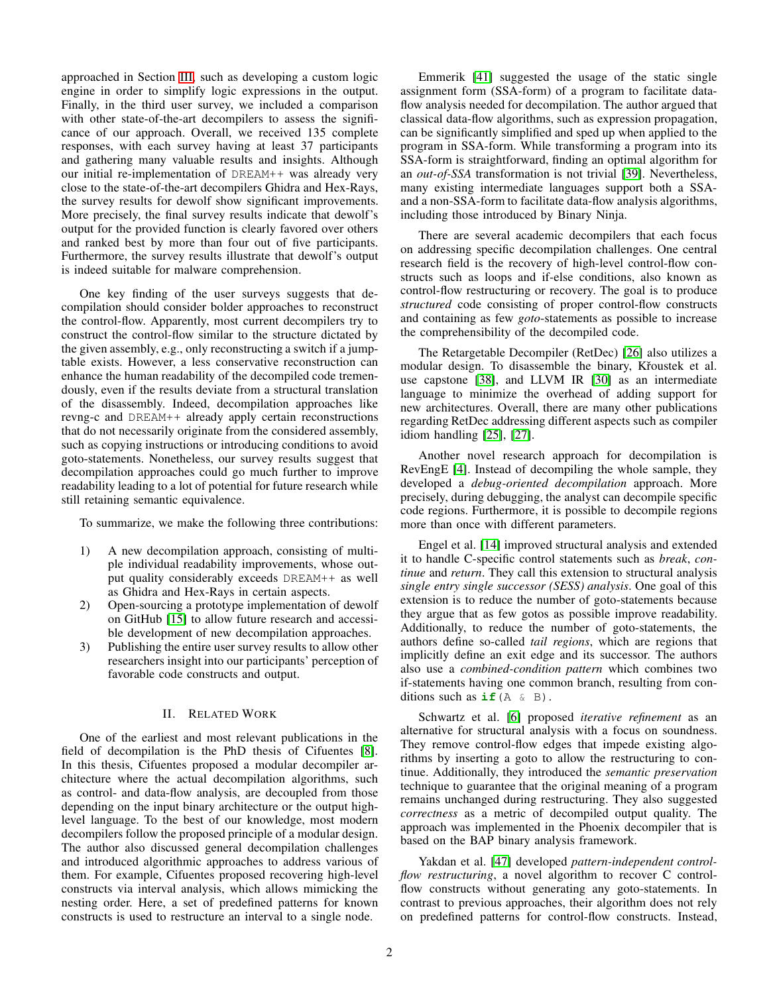approached in Section [III,](#page-2-1) such as developing a custom logic engine in order to simplify logic expressions in the output. Finally, in the third user survey, we included a comparison with other state-of-the-art decompilers to assess the significance of our approach. Overall, we received 135 complete responses, with each survey having at least 37 participants and gathering many valuable results and insights. Although our initial re-implementation of DREAM++ was already very close to the state-of-the-art decompilers Ghidra and Hex-Rays, the survey results for dewolf show significant improvements. More precisely, the final survey results indicate that dewolf's output for the provided function is clearly favored over others and ranked best by more than four out of five participants. Furthermore, the survey results illustrate that dewolf's output is indeed suitable for malware comprehension.

One key finding of the user surveys suggests that decompilation should consider bolder approaches to reconstruct the control-flow. Apparently, most current decompilers try to construct the control-flow similar to the structure dictated by the given assembly, e.g., only reconstructing a switch if a jumptable exists. However, a less conservative reconstruction can enhance the human readability of the decompiled code tremendously, even if the results deviate from a structural translation of the disassembly. Indeed, decompilation approaches like revng-c and DREAM++ already apply certain reconstructions that do not necessarily originate from the considered assembly, such as copying instructions or introducing conditions to avoid goto-statements. Nonetheless, our survey results suggest that decompilation approaches could go much further to improve readability leading to a lot of potential for future research while still retaining semantic equivalence.

To summarize, we make the following three contributions:

- 1) A new decompilation approach, consisting of multiple individual readability improvements, whose output quality considerably exceeds DREAM++ as well as Ghidra and Hex-Rays in certain aspects.
- 2) Open-sourcing a prototype implementation of dewolf on GitHub [\[15\]](#page-13-0) to allow future research and accessible development of new decompilation approaches.
- 3) Publishing the entire user survey results to allow other researchers insight into our participants' perception of favorable code constructs and output.

# II. RELATED WORK

One of the earliest and most relevant publications in the field of decompilation is the PhD thesis of Cifuentes [\[8\]](#page-13-10). In this thesis, Cifuentes proposed a modular decompiler architecture where the actual decompilation algorithms, such as control- and data-flow analysis, are decoupled from those depending on the input binary architecture or the output highlevel language. To the best of our knowledge, most modern decompilers follow the proposed principle of a modular design. The author also discussed general decompilation challenges and introduced algorithmic approaches to address various of them. For example, Cifuentes proposed recovering high-level constructs via interval analysis, which allows mimicking the nesting order. Here, a set of predefined patterns for known constructs is used to restructure an interval to a single node.

Emmerik [\[41\]](#page-13-11) suggested the usage of the static single assignment form (SSA-form) of a program to facilitate dataflow analysis needed for decompilation. The author argued that classical data-flow algorithms, such as expression propagation, can be significantly simplified and sped up when applied to the program in SSA-form. While transforming a program into its SSA-form is straightforward, finding an optimal algorithm for an *out-of-SSA* transformation is not trivial [\[39\]](#page-13-12). Nevertheless, many existing intermediate languages support both a SSAand a non-SSA-form to facilitate data-flow analysis algorithms, including those introduced by Binary Ninja.

There are several academic decompilers that each focus on addressing specific decompilation challenges. One central research field is the recovery of high-level control-flow constructs such as loops and if-else conditions, also known as control-flow restructuring or recovery. The goal is to produce *structured* code consisting of proper control-flow constructs and containing as few *goto*-statements as possible to increase the comprehensibility of the decompiled code.

The Retargetable Decompiler (RetDec) [\[26\]](#page-13-13) also utilizes a modular design. To disassemble the binary, Křoustek et al. use capstone [\[38\]](#page-13-14), and LLVM IR [\[30\]](#page-13-15) as an intermediate language to minimize the overhead of adding support for new architectures. Overall, there are many other publications regarding RetDec addressing different aspects such as compiler idiom handling [\[25\]](#page-13-16), [\[27\]](#page-13-17).

Another novel research approach for decompilation is RevEngE [\[4\]](#page-13-18). Instead of decompiling the whole sample, they developed a *debug-oriented decompilation* approach. More precisely, during debugging, the analyst can decompile specific code regions. Furthermore, it is possible to decompile regions more than once with different parameters.

Engel et al. [\[14\]](#page-13-19) improved structural analysis and extended it to handle C-specific control statements such as *break*, *continue* and *return*. They call this extension to structural analysis *single entry single successor (SESS) analysis*. One goal of this extension is to reduce the number of goto-statements because they argue that as few gotos as possible improve readability. Additionally, to reduce the number of goto-statements, the authors define so-called *tail regions*, which are regions that implicitly define an exit edge and its successor. The authors also use a *combined-condition pattern* which combines two if-statements having one common branch, resulting from conditions such as  $\mathbf{if}(\mathbf{A} \& \mathbf{B})$ .

Schwartz et al. [\[6\]](#page-13-3) proposed *iterative refinement* as an alternative for structural analysis with a focus on soundness. They remove control-flow edges that impede existing algorithms by inserting a goto to allow the restructuring to continue. Additionally, they introduced the *semantic preservation* technique to guarantee that the original meaning of a program remains unchanged during restructuring. They also suggested *correctness* as a metric of decompiled output quality. The approach was implemented in the Phoenix decompiler that is based on the BAP binary analysis framework.

Yakdan et al. [\[47\]](#page-13-7) developed *pattern-independent controlflow restructuring*, a novel algorithm to recover C controlflow constructs without generating any goto-statements. In contrast to previous approaches, their algorithm does not rely on predefined patterns for control-flow constructs. Instead,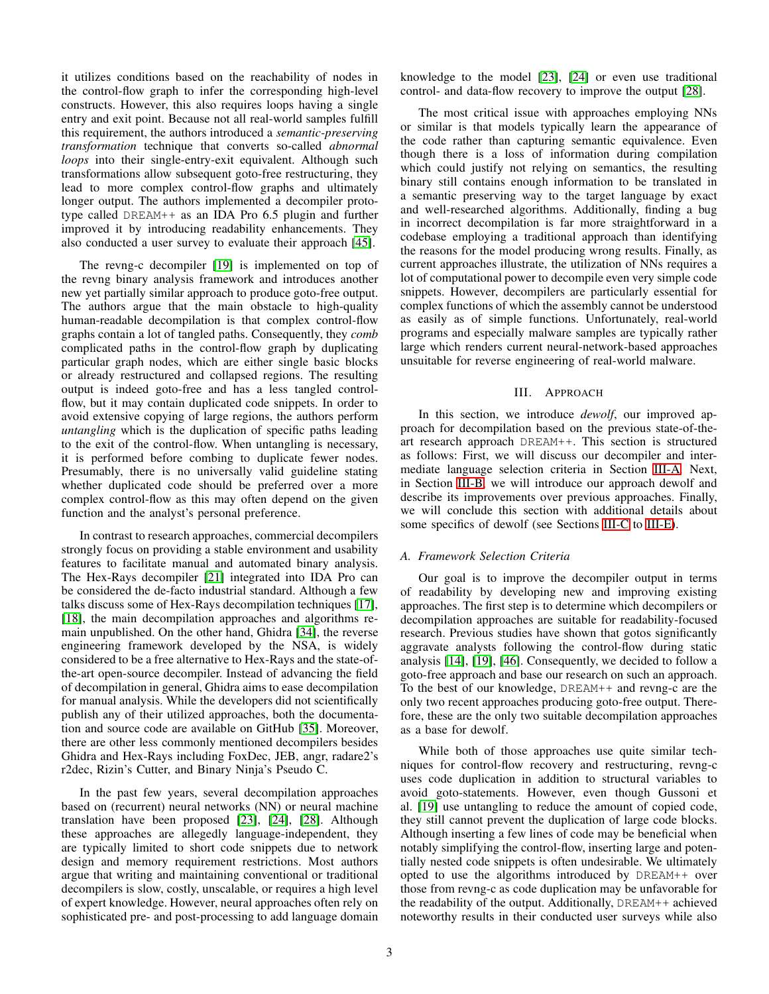it utilizes conditions based on the reachability of nodes in the control-flow graph to infer the corresponding high-level constructs. However, this also requires loops having a single entry and exit point. Because not all real-world samples fulfill this requirement, the authors introduced a *semantic-preserving transformation* technique that converts so-called *abnormal loops* into their single-entry-exit equivalent. Although such transformations allow subsequent goto-free restructuring, they lead to more complex control-flow graphs and ultimately longer output. The authors implemented a decompiler prototype called DREAM++ as an IDA Pro 6.5 plugin and further improved it by introducing readability enhancements. They also conducted a user survey to evaluate their approach [\[45\]](#page-13-20).

The revng-c decompiler [\[19\]](#page-13-6) is implemented on top of the revng binary analysis framework and introduces another new yet partially similar approach to produce goto-free output. The authors argue that the main obstacle to high-quality human-readable decompilation is that complex control-flow graphs contain a lot of tangled paths. Consequently, they *comb* complicated paths in the control-flow graph by duplicating particular graph nodes, which are either single basic blocks or already restructured and collapsed regions. The resulting output is indeed goto-free and has a less tangled controlflow, but it may contain duplicated code snippets. In order to avoid extensive copying of large regions, the authors perform *untangling* which is the duplication of specific paths leading to the exit of the control-flow. When untangling is necessary, it is performed before combing to duplicate fewer nodes. Presumably, there is no universally valid guideline stating whether duplicated code should be preferred over a more complex control-flow as this may often depend on the given function and the analyst's personal preference.

In contrast to research approaches, commercial decompilers strongly focus on providing a stable environment and usability features to facilitate manual and automated binary analysis. The Hex-Rays decompiler [\[21\]](#page-13-21) integrated into IDA Pro can be considered the de-facto industrial standard. Although a few talks discuss some of Hex-Rays decompilation techniques [\[17\]](#page-13-22), [\[18\]](#page-13-23), the main decompilation approaches and algorithms remain unpublished. On the other hand, Ghidra [\[34\]](#page-13-24), the reverse engineering framework developed by the NSA, is widely considered to be a free alternative to Hex-Rays and the state-ofthe-art open-source decompiler. Instead of advancing the field of decompilation in general, Ghidra aims to ease decompilation for manual analysis. While the developers did not scientifically publish any of their utilized approaches, both the documentation and source code are available on GitHub [\[35\]](#page-13-25). Moreover, there are other less commonly mentioned decompilers besides Ghidra and Hex-Rays including FoxDec, JEB, angr, radare2's r2dec, Rizin's Cutter, and Binary Ninja's Pseudo C.

In the past few years, several decompilation approaches based on (recurrent) neural networks (NN) or neural machine translation have been proposed [\[23\]](#page-13-26), [\[24\]](#page-13-27), [\[28\]](#page-13-28). Although these approaches are allegedly language-independent, they are typically limited to short code snippets due to network design and memory requirement restrictions. Most authors argue that writing and maintaining conventional or traditional decompilers is slow, costly, unscalable, or requires a high level of expert knowledge. However, neural approaches often rely on sophisticated pre- and post-processing to add language domain knowledge to the model [\[23\]](#page-13-26), [\[24\]](#page-13-27) or even use traditional control- and data-flow recovery to improve the output [\[28\]](#page-13-28).

The most critical issue with approaches employing NNs or similar is that models typically learn the appearance of the code rather than capturing semantic equivalence. Even though there is a loss of information during compilation which could justify not relying on semantics, the resulting binary still contains enough information to be translated in a semantic preserving way to the target language by exact and well-researched algorithms. Additionally, finding a bug in incorrect decompilation is far more straightforward in a codebase employing a traditional approach than identifying the reasons for the model producing wrong results. Finally, as current approaches illustrate, the utilization of NNs requires a lot of computational power to decompile even very simple code snippets. However, decompilers are particularly essential for complex functions of which the assembly cannot be understood as easily as of simple functions. Unfortunately, real-world programs and especially malware samples are typically rather large which renders current neural-network-based approaches unsuitable for reverse engineering of real-world malware.

# III. APPROACH

<span id="page-2-1"></span>In this section, we introduce *dewolf*, our improved approach for decompilation based on the previous state-of-theart research approach DREAM++. This section is structured as follows: First, we will discuss our decompiler and intermediate language selection criteria in Section [III-A.](#page-2-0) Next, in Section [III-B,](#page-3-0) we will introduce our approach dewolf and describe its improvements over previous approaches. Finally, we will conclude this section with additional details about some specifics of dewolf (see Sections [III-C](#page-5-0) to [III-E\)](#page-7-0).

# <span id="page-2-0"></span>*A. Framework Selection Criteria*

Our goal is to improve the decompiler output in terms of readability by developing new and improving existing approaches. The first step is to determine which decompilers or decompilation approaches are suitable for readability-focused research. Previous studies have shown that gotos significantly aggravate analysts following the control-flow during static analysis [\[14\]](#page-13-19), [\[19\]](#page-13-6), [\[46\]](#page-13-29). Consequently, we decided to follow a goto-free approach and base our research on such an approach. To the best of our knowledge, DREAM++ and revng-c are the only two recent approaches producing goto-free output. Therefore, these are the only two suitable decompilation approaches as a base for dewolf.

While both of those approaches use quite similar techniques for control-flow recovery and restructuring, revng-c uses code duplication in addition to structural variables to avoid goto-statements. However, even though Gussoni et al. [\[19\]](#page-13-6) use untangling to reduce the amount of copied code, they still cannot prevent the duplication of large code blocks. Although inserting a few lines of code may be beneficial when notably simplifying the control-flow, inserting large and potentially nested code snippets is often undesirable. We ultimately opted to use the algorithms introduced by DREAM++ over those from revng-c as code duplication may be unfavorable for the readability of the output. Additionally, DREAM++ achieved noteworthy results in their conducted user surveys while also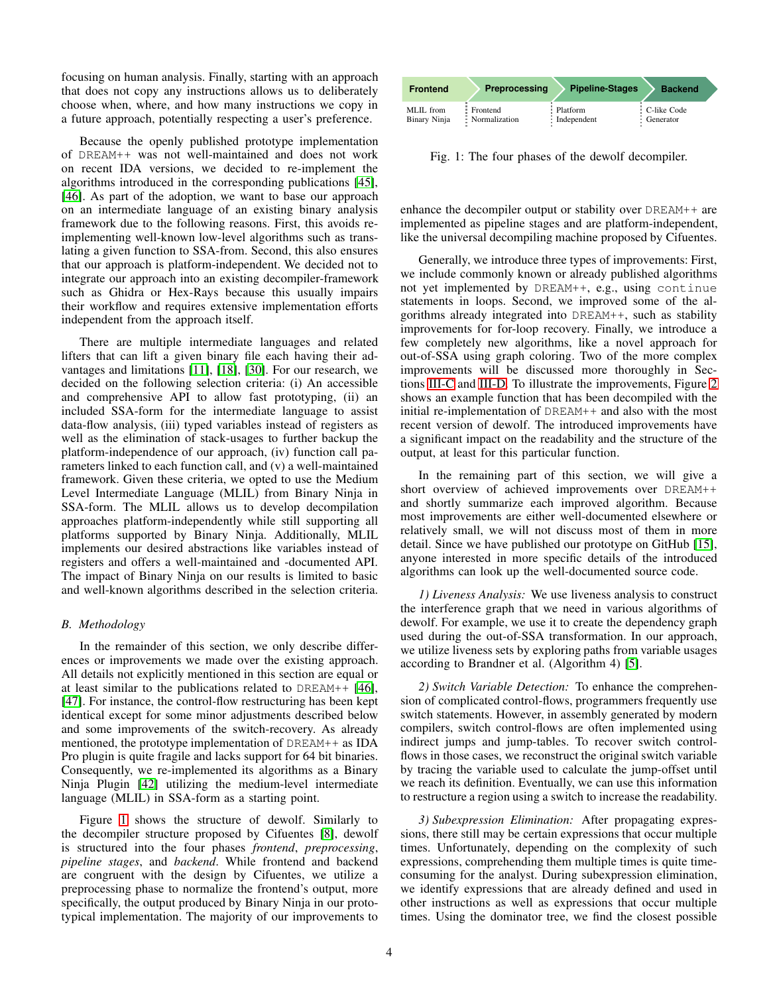focusing on human analysis. Finally, starting with an approach that does not copy any instructions allows us to deliberately choose when, where, and how many instructions we copy in a future approach, potentially respecting a user's preference.

Because the openly published prototype implementation of DREAM++ was not well-maintained and does not work on recent IDA versions, we decided to re-implement the algorithms introduced in the corresponding publications [\[45\]](#page-13-20), [\[46\]](#page-13-29). As part of the adoption, we want to base our approach on an intermediate language of an existing binary analysis framework due to the following reasons. First, this avoids reimplementing well-known low-level algorithms such as translating a given function to SSA-from. Second, this also ensures that our approach is platform-independent. We decided not to integrate our approach into an existing decompiler-framework such as Ghidra or Hex-Rays because this usually impairs their workflow and requires extensive implementation efforts independent from the approach itself.

There are multiple intermediate languages and related lifters that can lift a given binary file each having their advantages and limitations [\[11\]](#page-13-30), [\[18\]](#page-13-23), [\[30\]](#page-13-15). For our research, we decided on the following selection criteria: (i) An accessible and comprehensive API to allow fast prototyping, (ii) an included SSA-form for the intermediate language to assist data-flow analysis, (iii) typed variables instead of registers as well as the elimination of stack-usages to further backup the platform-independence of our approach, (iv) function call parameters linked to each function call, and (v) a well-maintained framework. Given these criteria, we opted to use the Medium Level Intermediate Language (MLIL) from Binary Ninja in SSA-form. The MLIL allows us to develop decompilation approaches platform-independently while still supporting all platforms supported by Binary Ninja. Additionally, MLIL implements our desired abstractions like variables instead of registers and offers a well-maintained and -documented API. The impact of Binary Ninja on our results is limited to basic and well-known algorithms described in the selection criteria.

# <span id="page-3-0"></span>*B. Methodology*

In the remainder of this section, we only describe differences or improvements we made over the existing approach. All details not explicitly mentioned in this section are equal or at least similar to the publications related to DREAM++ [\[46\]](#page-13-29), [\[47\]](#page-13-7). For instance, the control-flow restructuring has been kept identical except for some minor adjustments described below and some improvements of the switch-recovery. As already mentioned, the prototype implementation of DREAM++ as IDA Pro plugin is quite fragile and lacks support for 64 bit binaries. Consequently, we re-implemented its algorithms as a Binary Ninja Plugin [\[42\]](#page-13-31) utilizing the medium-level intermediate language (MLIL) in SSA-form as a starting point.

Figure [1](#page-3-1) shows the structure of dewolf. Similarly to the decompiler structure proposed by Cifuentes [\[8\]](#page-13-10), dewolf is structured into the four phases *frontend*, *preprocessing*, *pipeline stages*, and *backend*. While frontend and backend are congruent with the design by Cifuentes, we utilize a preprocessing phase to normalize the frontend's output, more specifically, the output produced by Binary Ninja in our prototypical implementation. The majority of our improvements to

<span id="page-3-1"></span>

Fig. 1: The four phases of the dewolf decompiler.

enhance the decompiler output or stability over DREAM++ are implemented as pipeline stages and are platform-independent, like the universal decompiling machine proposed by Cifuentes.

Generally, we introduce three types of improvements: First, we include commonly known or already published algorithms not yet implemented by DREAM++, e.g., using continue statements in loops. Second, we improved some of the algorithms already integrated into DREAM++, such as stability improvements for for-loop recovery. Finally, we introduce a few completely new algorithms, like a novel approach for out-of-SSA using graph coloring. Two of the more complex improvements will be discussed more thoroughly in Sections [III-C](#page-5-0) and [III-D.](#page-5-1) To illustrate the improvements, Figure [2](#page-4-0) shows an example function that has been decompiled with the initial re-implementation of DREAM++ and also with the most recent version of dewolf. The introduced improvements have a significant impact on the readability and the structure of the output, at least for this particular function.

In the remaining part of this section, we will give a short overview of achieved improvements over DREAM++ and shortly summarize each improved algorithm. Because most improvements are either well-documented elsewhere or relatively small, we will not discuss most of them in more detail. Since we have published our prototype on GitHub [\[15\]](#page-13-0), anyone interested in more specific details of the introduced algorithms can look up the well-documented source code.

*1) Liveness Analysis:* We use liveness analysis to construct the interference graph that we need in various algorithms of dewolf. For example, we use it to create the dependency graph used during the out-of-SSA transformation. In our approach, we utilize liveness sets by exploring paths from variable usages according to Brandner et al. (Algorithm 4) [\[5\]](#page-13-32).

*2) Switch Variable Detection:* To enhance the comprehension of complicated control-flows, programmers frequently use switch statements. However, in assembly generated by modern compilers, switch control-flows are often implemented using indirect jumps and jump-tables. To recover switch controlflows in those cases, we reconstruct the original switch variable by tracing the variable used to calculate the jump-offset until we reach its definition. Eventually, we can use this information to restructure a region using a switch to increase the readability.

*3) Subexpression Elimination:* After propagating expressions, there still may be certain expressions that occur multiple times. Unfortunately, depending on the complexity of such expressions, comprehending them multiple times is quite timeconsuming for the analyst. During subexpression elimination, we identify expressions that are already defined and used in other instructions as well as expressions that occur multiple times. Using the dominator tree, we find the closest possible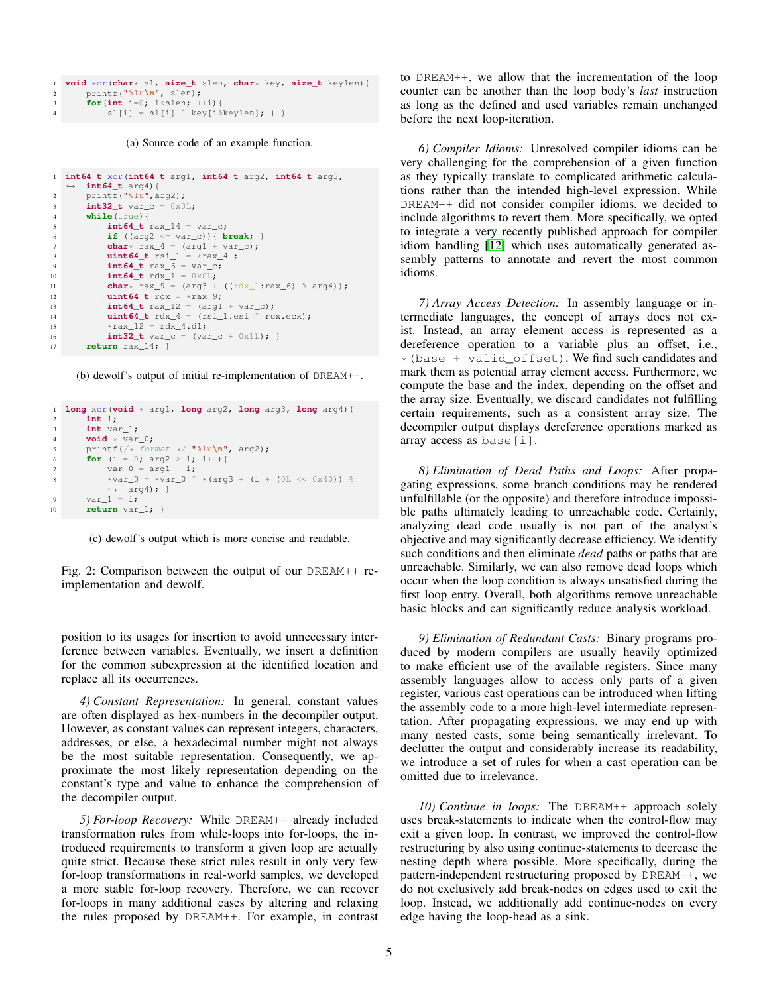```
1 void xor(char* s1, size_t slen, char* key, size_t keylen){
       2 printf("%lu\n", slen);
for(\text{int } i = 0; i < s \text{len}; i + i) {<br>s1[i] = s1[i] \text{key } [i \4 s1[i] = s1[i] key[i%keylen]; } }
```
(a) Source code of an example function.

```
1 int64_t xor(int64_t arg1, int64_t arg2, int64_t arg3,
    ֒→ int64_t arg4){
2 printf("\frac{1}{2}u", \frac{1}{2}g);
3 int32_t var_c = 0 \times 0L;
4 while(true){
5 int64_t \, \text{rax}\, 14 = \text{var}\, c;6 if ((arg2 <= var_c)){ break; }
 \mathsf{char} char* \text{rax\_4} = (\text{arg1 + var\_c});8 uint64 t rsi_1 = *rax_4 ;<br>9 int64 t rax 6 = var c;
               int64_t \, \text{rax}_6 = \text{var}_c;10 int64_t r dx_1 = 0 \times 0L;
11 char* \text{rax\_9} = (\text{arg3} + ((\text{rdx\_1:rax\_6}) \, ^{8} \, \text{arg4}));<br>12 uint64 t \text{rcx} = \text{arg 9}:12 uint64_t rcx = *rax_9;
13 int64_t rax_12 = (arg1 + var_c);
14 uint64_t rdx_4 = (rsi_1.esi ˆ rcx.ecx);
15 \arctan \frac{12}{2} = \text{rdx}_4 \cdot \text{dl};<br>16 \arctan \frac{12}{2} \cdot \text{tan } c = (\text{val})int32_t \, var_c = (var_c + 0x1L);17 return rax_14; }
```
(b) dewolf's output of initial re-implementation of DREAM++.

```
1 long xor(void * arg1, long arg2, long arg3, long arg4){
       2 int i;
3 int var_1;
4 void * var_0;
5 printf(\frac{1}{f} format \frac{1}{f} "$lu\n", arg2);<br>6 for (i = 0; arg2 > i; i++){
6 for (i = 0; \arg 2 > i; i++) {<br>
var_0 = arg1 + i;8 *var_0 = *var_0 ^ *(arg3 + (i + (OL << 0x40)) %
            \leftrightarrow arg4); }
9 var_1 = i;10 return var_1; }
```
(c) dewolf's output which is more concise and readable.

Fig. 2: Comparison between the output of our DREAM++ reimplementation and dewolf.

position to its usages for insertion to avoid unnecessary interference between variables. Eventually, we insert a definition for the common subexpression at the identified location and replace all its occurrences.

*4) Constant Representation:* In general, constant values are often displayed as hex-numbers in the decompiler output. However, as constant values can represent integers, characters, addresses, or else, a hexadecimal number might not always be the most suitable representation. Consequently, we approximate the most likely representation depending on the constant's type and value to enhance the comprehension of the decompiler output.

*5) For-loop Recovery:* While DREAM++ already included transformation rules from while-loops into for-loops, the introduced requirements to transform a given loop are actually quite strict. Because these strict rules result in only very few for-loop transformations in real-world samples, we developed a more stable for-loop recovery. Therefore, we can recover for-loops in many additional cases by altering and relaxing the rules proposed by DREAM++. For example, in contrast to DREAM++, we allow that the incrementation of the loop counter can be another than the loop body's *last* instruction as long as the defined and used variables remain unchanged before the next loop-iteration.

*6) Compiler Idioms:* Unresolved compiler idioms can be very challenging for the comprehension of a given function as they typically translate to complicated arithmetic calculations rather than the intended high-level expression. While DREAM++ did not consider compiler idioms, we decided to include algorithms to revert them. More specifically, we opted to integrate a very recently published approach for compiler idiom handling [\[12\]](#page-13-33) which uses automatically generated assembly patterns to annotate and revert the most common idioms.

*7) Array Access Detection:* In assembly language or intermediate languages, the concept of arrays does not exist. Instead, an array element access is represented as a dereference operation to a variable plus an offset, i.e.,  $*(base + valid_offset)$ . We find such candidates and mark them as potential array element access. Furthermore, we compute the base and the index, depending on the offset and the array size. Eventually, we discard candidates not fulfilling certain requirements, such as a consistent array size. The decompiler output displays dereference operations marked as array access as base[i].

*8) Elimination of Dead Paths and Loops:* After propagating expressions, some branch conditions may be rendered unfulfillable (or the opposite) and therefore introduce impossible paths ultimately leading to unreachable code. Certainly, analyzing dead code usually is not part of the analyst's objective and may significantly decrease efficiency. We identify such conditions and then eliminate *dead* paths or paths that are unreachable. Similarly, we can also remove dead loops which occur when the loop condition is always unsatisfied during the first loop entry. Overall, both algorithms remove unreachable basic blocks and can significantly reduce analysis workload.

*9) Elimination of Redundant Casts:* Binary programs produced by modern compilers are usually heavily optimized to make efficient use of the available registers. Since many assembly languages allow to access only parts of a given register, various cast operations can be introduced when lifting the assembly code to a more high-level intermediate representation. After propagating expressions, we may end up with many nested casts, some being semantically irrelevant. To declutter the output and considerably increase its readability, we introduce a set of rules for when a cast operation can be omitted due to irrelevance.

*10) Continue in loops:* The DREAM++ approach solely uses break-statements to indicate when the control-flow may exit a given loop. In contrast, we improved the control-flow restructuring by also using continue-statements to decrease the nesting depth where possible. More specifically, during the pattern-independent restructuring proposed by DREAM++, we do not exclusively add break-nodes on edges used to exit the loop. Instead, we additionally add continue-nodes on every edge having the loop-head as a sink.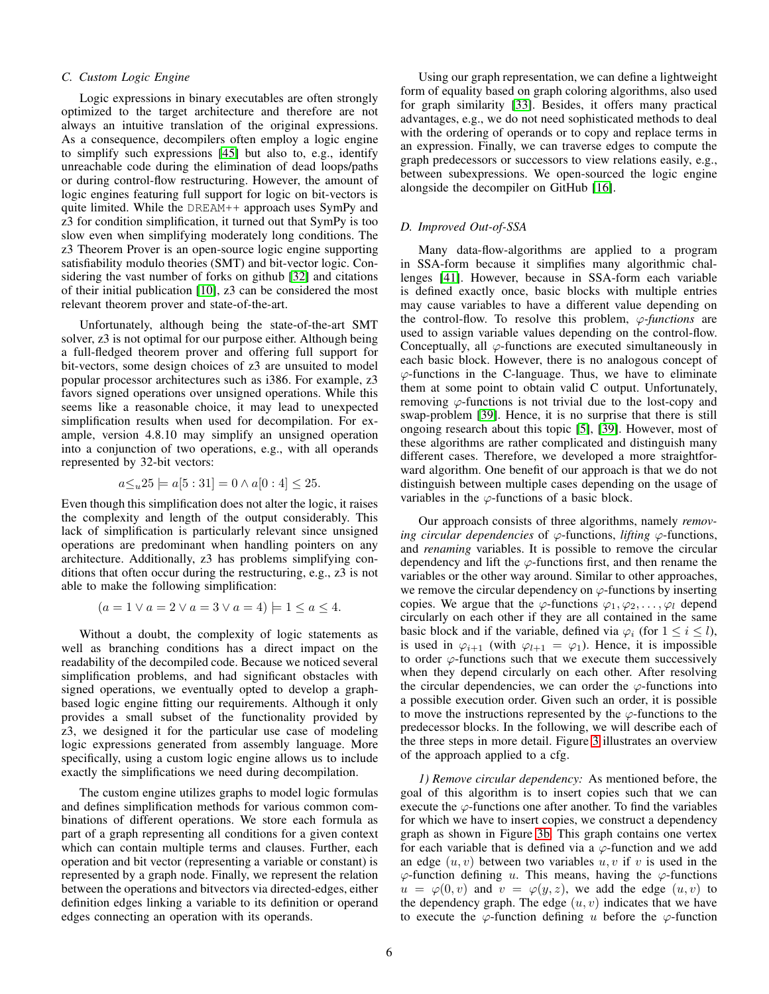#### <span id="page-5-0"></span>*C. Custom Logic Engine*

Logic expressions in binary executables are often strongly optimized to the target architecture and therefore are not always an intuitive translation of the original expressions. As a consequence, decompilers often employ a logic engine to simplify such expressions [\[45\]](#page-13-20) but also to, e.g., identify unreachable code during the elimination of dead loops/paths or during control-flow restructuring. However, the amount of logic engines featuring full support for logic on bit-vectors is quite limited. While the DREAM++ approach uses SymPy and z3 for condition simplification, it turned out that SymPy is too slow even when simplifying moderately long conditions. The z3 Theorem Prover is an open-source logic engine supporting satisfiability modulo theories (SMT) and bit-vector logic. Considering the vast number of forks on github [\[32\]](#page-13-34) and citations of their initial publication [\[10\]](#page-13-35), z3 can be considered the most relevant theorem prover and state-of-the-art.

Unfortunately, although being the state-of-the-art SMT solver, z3 is not optimal for our purpose either. Although being a full-fledged theorem prover and offering full support for bit-vectors, some design choices of z3 are unsuited to model popular processor architectures such as i386. For example, z3 favors signed operations over unsigned operations. While this seems like a reasonable choice, it may lead to unexpected simplification results when used for decompilation. For example, version 4.8.10 may simplify an unsigned operation into a conjunction of two operations, e.g., with all operands represented by 32-bit vectors:

$$
a \leq_u 25 \models a[5:31] = 0 \land a[0:4] \leq 25.
$$

Even though this simplification does not alter the logic, it raises the complexity and length of the output considerably. This lack of simplification is particularly relevant since unsigned operations are predominant when handling pointers on any architecture. Additionally, z3 has problems simplifying conditions that often occur during the restructuring, e.g., z3 is not able to make the following simplification:

$$
(a = 1 \lor a = 2 \lor a = 3 \lor a = 4) \models 1 \le a \le 4.
$$

Without a doubt, the complexity of logic statements as well as branching conditions has a direct impact on the readability of the decompiled code. Because we noticed several simplification problems, and had significant obstacles with signed operations, we eventually opted to develop a graphbased logic engine fitting our requirements. Although it only provides a small subset of the functionality provided by z3, we designed it for the particular use case of modeling logic expressions generated from assembly language. More specifically, using a custom logic engine allows us to include exactly the simplifications we need during decompilation.

The custom engine utilizes graphs to model logic formulas and defines simplification methods for various common combinations of different operations. We store each formula as part of a graph representing all conditions for a given context which can contain multiple terms and clauses. Further, each operation and bit vector (representing a variable or constant) is represented by a graph node. Finally, we represent the relation between the operations and bitvectors via directed-edges, either definition edges linking a variable to its definition or operand edges connecting an operation with its operands.

Using our graph representation, we can define a lightweight form of equality based on graph coloring algorithms, also used for graph similarity [\[33\]](#page-13-36). Besides, it offers many practical advantages, e.g., we do not need sophisticated methods to deal with the ordering of operands or to copy and replace terms in an expression. Finally, we can traverse edges to compute the graph predecessors or successors to view relations easily, e.g., between subexpressions. We open-sourced the logic engine alongside the decompiler on GitHub [\[16\]](#page-13-37).

#### <span id="page-5-1"></span>*D. Improved Out-of-SSA*

Many data-flow-algorithms are applied to a program in SSA-form because it simplifies many algorithmic challenges [\[41\]](#page-13-11). However, because in SSA-form each variable is defined exactly once, basic blocks with multiple entries may cause variables to have a different value depending on the control-flow. To resolve this problem, ϕ*-functions* are used to assign variable values depending on the control-flow. Conceptually, all  $\varphi$ -functions are executed simultaneously in each basic block. However, there is no analogous concept of  $\varphi$ -functions in the C-language. Thus, we have to eliminate them at some point to obtain valid C output. Unfortunately, removing  $\varphi$ -functions is not trivial due to the lost-copy and swap-problem [\[39\]](#page-13-12). Hence, it is no surprise that there is still ongoing research about this topic [\[5\]](#page-13-32), [\[39\]](#page-13-12). However, most of these algorithms are rather complicated and distinguish many different cases. Therefore, we developed a more straightforward algorithm. One benefit of our approach is that we do not distinguish between multiple cases depending on the usage of variables in the  $\varphi$ -functions of a basic block.

Our approach consists of three algorithms, namely *removing circular dependencies* of ϕ-functions, *lifting* ϕ-functions, and *renaming* variables. It is possible to remove the circular dependency and lift the  $\varphi$ -functions first, and then rename the variables or the other way around. Similar to other approaches, we remove the circular dependency on  $\varphi$ -functions by inserting copies. We argue that the  $\varphi$ -functions  $\varphi_1, \varphi_2, \dots, \varphi_l$  depend circularly on each other if they are all contained in the same basic block and if the variable, defined via  $\varphi_i$  (for  $1 \leq i \leq l$ ), is used in  $\varphi_{i+1}$  (with  $\varphi_{i+1} = \varphi_1$ ). Hence, it is impossible to order  $\varphi$ -functions such that we execute them successively when they depend circularly on each other. After resolving the circular dependencies, we can order the  $\varphi$ -functions into a possible execution order. Given such an order, it is possible to move the instructions represented by the  $\varphi$ -functions to the predecessor blocks. In the following, we will describe each of the three steps in more detail. Figure [3](#page-6-0) illustrates an overview of the approach applied to a cfg.

*1) Remove circular dependency:* As mentioned before, the goal of this algorithm is to insert copies such that we can execute the  $\varphi$ -functions one after another. To find the variables for which we have to insert copies, we construct a dependency graph as shown in Figure [3b.](#page-6-0) This graph contains one vertex for each variable that is defined via a  $\varphi$ -function and we add an edge  $(u, v)$  between two variables  $u, v$  if v is used in the  $\varphi$ -function defining u. This means, having the  $\varphi$ -functions  $u = \varphi(0, v)$  and  $v = \varphi(y, z)$ , we add the edge  $(u, v)$  to the dependency graph. The edge  $(u, v)$  indicates that we have to execute the  $\varphi$ -function defining u before the  $\varphi$ -function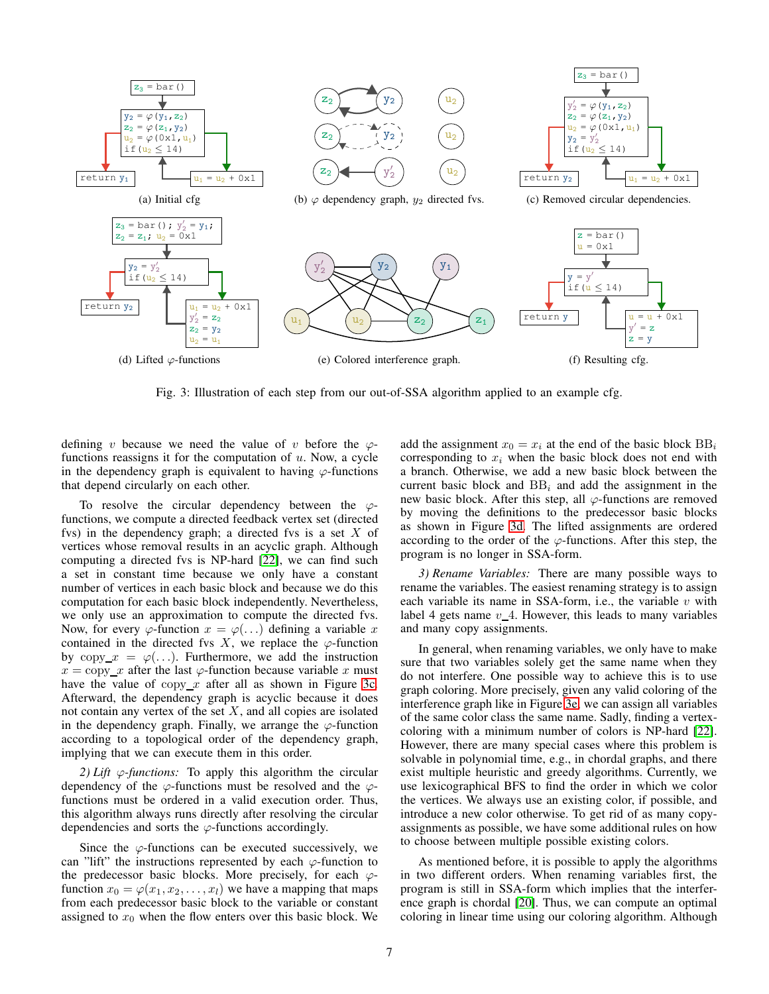<span id="page-6-0"></span>

Fig. 3: Illustration of each step from our out-of-SSA algorithm applied to an example cfg.

defining v because we need the value of v before the  $\varphi$ functions reassigns it for the computation of  $u$ . Now, a cycle in the dependency graph is equivalent to having  $\varphi$ -functions that depend circularly on each other.

To resolve the circular dependency between the  $\varphi$ functions, we compute a directed feedback vertex set (directed fvs) in the dependency graph; a directed fvs is a set  $X$  of vertices whose removal results in an acyclic graph. Although computing a directed fvs is NP-hard [\[22\]](#page-13-38), we can find such a set in constant time because we only have a constant number of vertices in each basic block and because we do this computation for each basic block independently. Nevertheless, we only use an approximation to compute the directed fvs. Now, for every  $\varphi$ -function  $x = \varphi(\ldots)$  defining a variable x contained in the directed fvs X, we replace the  $\varphi$ -function by copy  $x = \varphi(\ldots)$ . Furthermore, we add the instruction  $x = \text{copy}\_x$  after the last  $\varphi$ -function because variable x must have the value of copy  $x$  after all as shown in Figure [3c.](#page-6-0) Afterward, the dependency graph is acyclic because it does not contain any vertex of the set  $X$ , and all copies are isolated in the dependency graph. Finally, we arrange the  $\varphi$ -function according to a topological order of the dependency graph, implying that we can execute them in this order.

*2) Lift* ϕ*-functions:* To apply this algorithm the circular dependency of the  $\varphi$ -functions must be resolved and the  $\varphi$ functions must be ordered in a valid execution order. Thus, this algorithm always runs directly after resolving the circular dependencies and sorts the  $\varphi$ -functions accordingly.

Since the  $\varphi$ -functions can be executed successively, we can "lift" the instructions represented by each  $\varphi$ -function to the predecessor basic blocks. More precisely, for each  $\varphi$ function  $x_0 = \varphi(x_1, x_2, \dots, x_l)$  we have a mapping that maps from each predecessor basic block to the variable or constant assigned to  $x_0$  when the flow enters over this basic block. We add the assignment  $x_0 = x_i$  at the end of the basic block  $BB_i$ corresponding to  $x_i$  when the basic block does not end with a branch. Otherwise, we add a new basic block between the current basic block and  $BB_i$  and add the assignment in the new basic block. After this step, all  $\varphi$ -functions are removed by moving the definitions to the predecessor basic blocks as shown in Figure [3d.](#page-6-0) The lifted assignments are ordered according to the order of the  $\varphi$ -functions. After this step, the program is no longer in SSA-form.

*3) Rename Variables:* There are many possible ways to rename the variables. The easiest renaming strategy is to assign each variable its name in SSA-form, i.e., the variable  $v$  with label 4 gets name  $v_4$ . However, this leads to many variables and many copy assignments.

In general, when renaming variables, we only have to make sure that two variables solely get the same name when they do not interfere. One possible way to achieve this is to use graph coloring. More precisely, given any valid coloring of the interference graph like in Figure [3e,](#page-6-0) we can assign all variables of the same color class the same name. Sadly, finding a vertexcoloring with a minimum number of colors is NP-hard [\[22\]](#page-13-38). However, there are many special cases where this problem is solvable in polynomial time, e.g., in chordal graphs, and there exist multiple heuristic and greedy algorithms. Currently, we use lexicographical BFS to find the order in which we color the vertices. We always use an existing color, if possible, and introduce a new color otherwise. To get rid of as many copyassignments as possible, we have some additional rules on how to choose between multiple possible existing colors.

As mentioned before, it is possible to apply the algorithms in two different orders. When renaming variables first, the program is still in SSA-form which implies that the interference graph is chordal [\[20\]](#page-13-39). Thus, we can compute an optimal coloring in linear time using our coloring algorithm. Although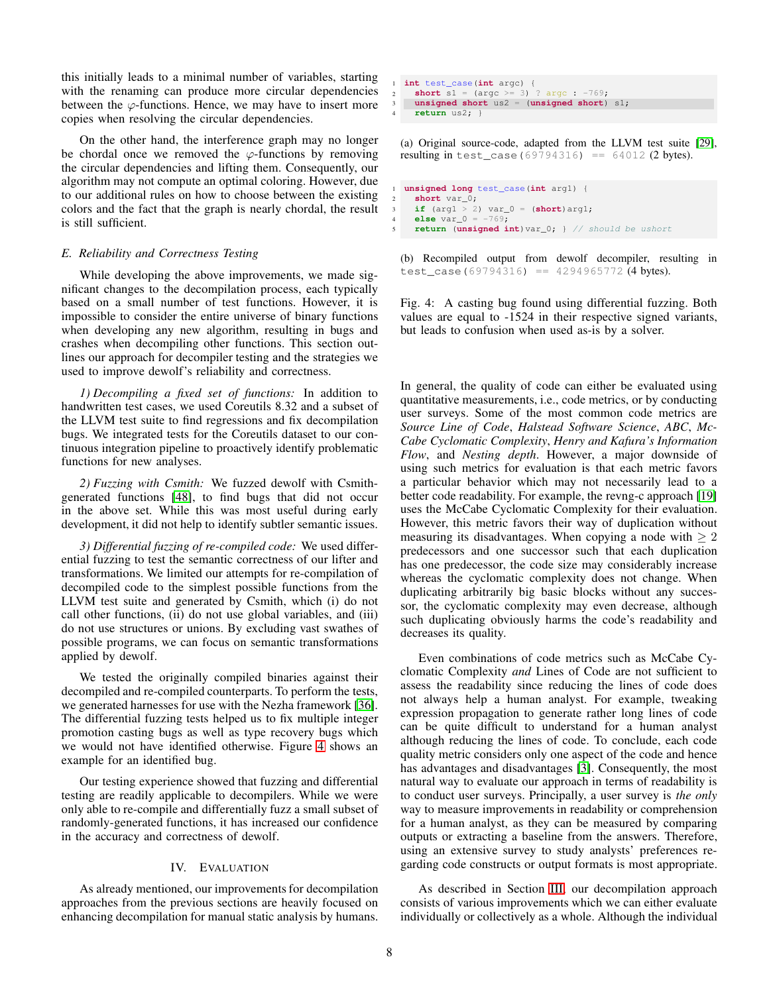this initially leads to a minimal number of variables, starting with the renaming can produce more circular dependencies between the  $\varphi$ -functions. Hence, we may have to insert more copies when resolving the circular dependencies.

On the other hand, the interference graph may no longer be chordal once we removed the  $\varphi$ -functions by removing the circular dependencies and lifting them. Consequently, our algorithm may not compute an optimal coloring. However, due to our additional rules on how to choose between the existing colors and the fact that the graph is nearly chordal, the result is still sufficient.

### <span id="page-7-0"></span>*E. Reliability and Correctness Testing*

While developing the above improvements, we made significant changes to the decompilation process, each typically based on a small number of test functions. However, it is impossible to consider the entire universe of binary functions when developing any new algorithm, resulting in bugs and crashes when decompiling other functions. This section outlines our approach for decompiler testing and the strategies we used to improve dewolf's reliability and correctness.

*1) Decompiling a fixed set of functions:* In addition to handwritten test cases, we used Coreutils 8.32 and a subset of the LLVM test suite to find regressions and fix decompilation bugs. We integrated tests for the Coreutils dataset to our continuous integration pipeline to proactively identify problematic functions for new analyses.

*2) Fuzzing with Csmith:* We fuzzed dewolf with Csmithgenerated functions [\[48\]](#page-13-40), to find bugs that did not occur in the above set. While this was most useful during early development, it did not help to identify subtler semantic issues.

*3) Differential fuzzing of re-compiled code:* We used differential fuzzing to test the semantic correctness of our lifter and transformations. We limited our attempts for re-compilation of decompiled code to the simplest possible functions from the LLVM test suite and generated by Csmith, which (i) do not call other functions, (ii) do not use global variables, and (iii) do not use structures or unions. By excluding vast swathes of possible programs, we can focus on semantic transformations applied by dewolf.

We tested the originally compiled binaries against their decompiled and re-compiled counterparts. To perform the tests, we generated harnesses for use with the Nezha framework [\[36\]](#page-13-41). The differential fuzzing tests helped us to fix multiple integer promotion casting bugs as well as type recovery bugs which we would not have identified otherwise. Figure [4](#page-7-2) shows an example for an identified bug.

Our testing experience showed that fuzzing and differential testing are readily applicable to decompilers. While we were only able to re-compile and differentially fuzz a small subset of randomly-generated functions, it has increased our confidence in the accuracy and correctness of dewolf.

# IV. EVALUATION

<span id="page-7-1"></span>As already mentioned, our improvements for decompilation approaches from the previous sections are heavily focused on enhancing decompilation for manual static analysis by humans.

```
1 int test_case(int argc) {
short s1 = (\text{arge} > 3) ? \text{arge} : -769;
     3 unsigned short us2 = (unsigned short) s1;
     4 return us2; }
```
(a) Original source-code, adapted from the LLVM test suite [\[29\]](#page-13-42), resulting in test\_case(69794316) == 64012 (2 bytes).

```
unsigned long test_case(int arg1) {
  short var_0;
  3 if (arg1 > 2) var_0 = (short)arg1;
  else var_0 = -769;
  5 return (unsigned int)var_0; } // should be ushort
```
(b) Recompiled output from dewolf decompiler, resulting in test\_case(69794316) == 4294965772 (4 bytes).

Fig. 4: A casting bug found using differential fuzzing. Both values are equal to -1524 in their respective signed variants, but leads to confusion when used as-is by a solver.

In general, the quality of code can either be evaluated using quantitative measurements, i.e., code metrics, or by conducting user surveys. Some of the most common code metrics are *Source Line of Code*, *Halstead Software Science*, *ABC*, *Mc-Cabe Cyclomatic Complexity*, *Henry and Kafura's Information Flow*, and *Nesting depth*. However, a major downside of using such metrics for evaluation is that each metric favors a particular behavior which may not necessarily lead to a better code readability. For example, the revng-c approach [\[19\]](#page-13-6) uses the McCabe Cyclomatic Complexity for their evaluation. However, this metric favors their way of duplication without measuring its disadvantages. When copying a node with  $\geq 2$ predecessors and one successor such that each duplication has one predecessor, the code size may considerably increase whereas the cyclomatic complexity does not change. When duplicating arbitrarily big basic blocks without any successor, the cyclomatic complexity may even decrease, although such duplicating obviously harms the code's readability and decreases its quality.

Even combinations of code metrics such as McCabe Cyclomatic Complexity *and* Lines of Code are not sufficient to assess the readability since reducing the lines of code does not always help a human analyst. For example, tweaking expression propagation to generate rather long lines of code can be quite difficult to understand for a human analyst although reducing the lines of code. To conclude, each code quality metric considers only one aspect of the code and hence has advantages and disadvantages [\[3\]](#page-13-43). Consequently, the most natural way to evaluate our approach in terms of readability is to conduct user surveys. Principally, a user survey is *the only* way to measure improvements in readability or comprehension for a human analyst, as they can be measured by comparing outputs or extracting a baseline from the answers. Therefore, using an extensive survey to study analysts' preferences regarding code constructs or output formats is most appropriate.

As described in Section [III,](#page-2-1) our decompilation approach consists of various improvements which we can either evaluate individually or collectively as a whole. Although the individual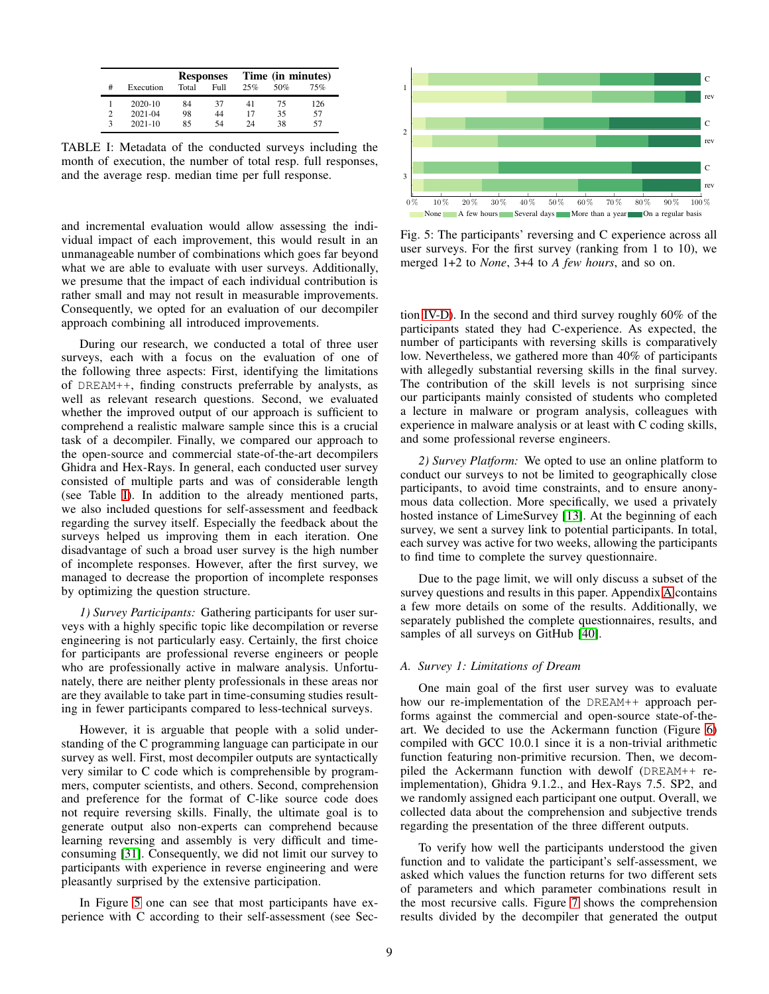<span id="page-8-0"></span>

|   |             | <b>Responses</b> |                   | Time (in minutes) |     |     |
|---|-------------|------------------|-------------------|-------------------|-----|-----|
| # | Execution   | Total            | F <sub>0</sub> 11 | 25%               | 50% | 75% |
|   | $2020 - 10$ | 84               | 37                | 41                | 75  | 126 |
| 2 | $2021 - 04$ | 98               | 44                | 17                | 35  | 57  |
| 3 | $2021 - 10$ | 85               | 54                | 24                | 38  | 57  |

TABLE I: Metadata of the conducted surveys including the month of execution, the number of total resp. full responses, and the average resp. median time per full response.

and incremental evaluation would allow assessing the individual impact of each improvement, this would result in an unmanageable number of combinations which goes far beyond what we are able to evaluate with user surveys. Additionally, we presume that the impact of each individual contribution is rather small and may not result in measurable improvements. Consequently, we opted for an evaluation of our decompiler approach combining all introduced improvements.

During our research, we conducted a total of three user surveys, each with a focus on the evaluation of one of the following three aspects: First, identifying the limitations of DREAM++, finding constructs preferrable by analysts, as well as relevant research questions. Second, we evaluated whether the improved output of our approach is sufficient to comprehend a realistic malware sample since this is a crucial task of a decompiler. Finally, we compared our approach to the open-source and commercial state-of-the-art decompilers Ghidra and Hex-Rays. In general, each conducted user survey consisted of multiple parts and was of considerable length (see Table [I\)](#page-8-0). In addition to the already mentioned parts, we also included questions for self-assessment and feedback regarding the survey itself. Especially the feedback about the surveys helped us improving them in each iteration. One disadvantage of such a broad user survey is the high number of incomplete responses. However, after the first survey, we managed to decrease the proportion of incomplete responses by optimizing the question structure.

*1) Survey Participants:* Gathering participants for user surveys with a highly specific topic like decompilation or reverse engineering is not particularly easy. Certainly, the first choice for participants are professional reverse engineers or people who are professionally active in malware analysis. Unfortunately, there are neither plenty professionals in these areas nor are they available to take part in time-consuming studies resulting in fewer participants compared to less-technical surveys.

However, it is arguable that people with a solid understanding of the C programming language can participate in our survey as well. First, most decompiler outputs are syntactically very similar to C code which is comprehensible by programmers, computer scientists, and others. Second, comprehension and preference for the format of C-like source code does not require reversing skills. Finally, the ultimate goal is to generate output also non-experts can comprehend because learning reversing and assembly is very difficult and timeconsuming [\[31\]](#page-13-9). Consequently, we did not limit our survey to participants with experience in reverse engineering and were pleasantly surprised by the extensive participation.

In Figure [5](#page-8-1) one can see that most participants have experience with C according to their self-assessment (see Sec-

<span id="page-8-1"></span>

Fig. 5: The participants' reversing and C experience across all user surveys. For the first survey (ranking from 1 to 10), we merged 1+2 to *None*, 3+4 to *A few hours*, and so on.

tion [IV-D\)](#page-11-0). In the second and third survey roughly 60% of the participants stated they had C-experience. As expected, the number of participants with reversing skills is comparatively low. Nevertheless, we gathered more than 40% of participants with allegedly substantial reversing skills in the final survey. The contribution of the skill levels is not surprising since our participants mainly consisted of students who completed a lecture in malware or program analysis, colleagues with experience in malware analysis or at least with C coding skills, and some professional reverse engineers.

*2) Survey Platform:* We opted to use an online platform to conduct our surveys to not be limited to geographically close participants, to avoid time constraints, and to ensure anonymous data collection. More specifically, we used a privately hosted instance of LimeSurvey [\[13\]](#page-13-44). At the beginning of each survey, we sent a survey link to potential participants. In total, each survey was active for two weeks, allowing the participants to find time to complete the survey questionnaire.

Due to the page limit, we will only discuss a subset of the survey questions and results in this paper. Appendix [A](#page-14-1) contains a few more details on some of the results. Additionally, we separately published the complete questionnaires, results, and samples of all surveys on GitHub [\[40\]](#page-13-1).

### *A. Survey 1: Limitations of Dream*

One main goal of the first user survey was to evaluate how our re-implementation of the DREAM++ approach performs against the commercial and open-source state-of-theart. We decided to use the Ackermann function (Figure [6\)](#page-9-0) compiled with GCC 10.0.1 since it is a non-trivial arithmetic function featuring non-primitive recursion. Then, we decompiled the Ackermann function with dewolf (DREAM++ reimplementation), Ghidra 9.1.2., and Hex-Rays 7.5. SP2, and we randomly assigned each participant one output. Overall, we collected data about the comprehension and subjective trends regarding the presentation of the three different outputs.

To verify how well the participants understood the given function and to validate the participant's self-assessment, we asked which values the function returns for two different sets of parameters and which parameter combinations result in the most recursive calls. Figure [7](#page-9-1) shows the comprehension results divided by the decompiler that generated the output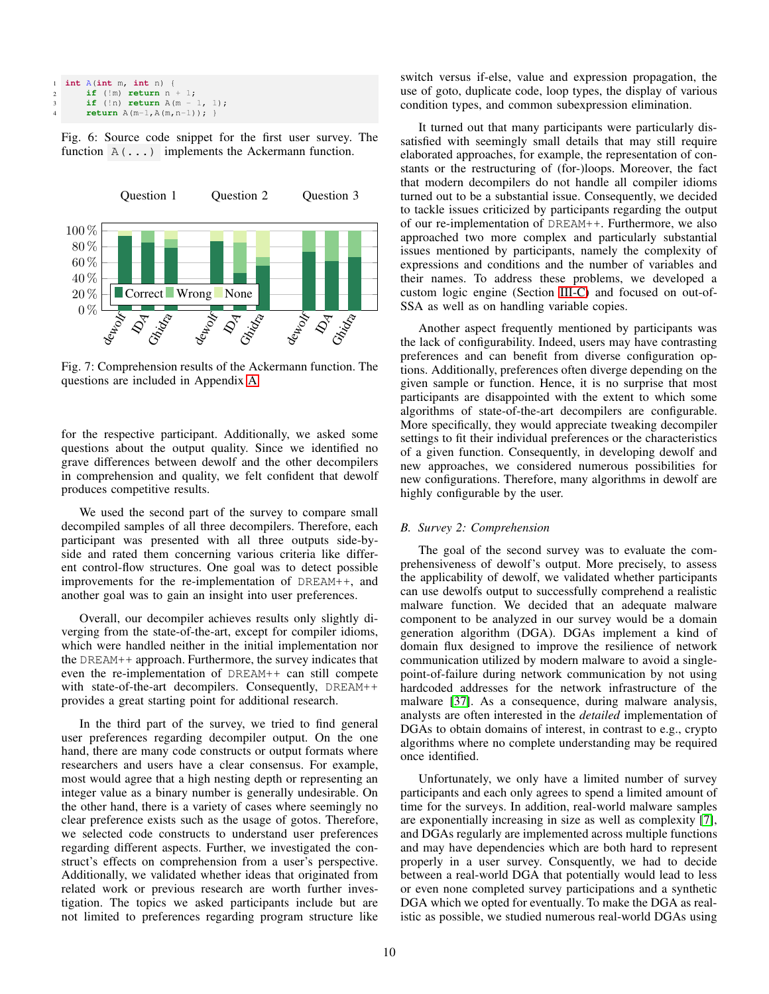<span id="page-9-0"></span>

|                | $1$ int $A(int m, int n)$ {           |  |
|----------------|---------------------------------------|--|
| $\overline{c}$ | if $(\text{Im})$ return $n + 1$ ;     |  |
| 3              | if (!n) return $A(m - 1, 1)$ ;        |  |
| 4              | <b>return</b> $A(m-1, A(m, n-1))$ ; } |  |

Fig. 6: Source code snippet for the first user survey. The function  $A(\ldots)$  implements the Ackermann function.

<span id="page-9-1"></span>

Fig. 7: Comprehension results of the Ackermann function. The questions are included in Appendix [A.](#page-14-2)

for the respective participant. Additionally, we asked some questions about the output quality. Since we identified no grave differences between dewolf and the other decompilers in comprehension and quality, we felt confident that dewolf produces competitive results.

We used the second part of the survey to compare small decompiled samples of all three decompilers. Therefore, each participant was presented with all three outputs side-byside and rated them concerning various criteria like different control-flow structures. One goal was to detect possible improvements for the re-implementation of DREAM++, and another goal was to gain an insight into user preferences.

Overall, our decompiler achieves results only slightly diverging from the state-of-the-art, except for compiler idioms, which were handled neither in the initial implementation nor the DREAM++ approach. Furthermore, the survey indicates that even the re-implementation of DREAM++ can still compete with state-of-the-art decompilers. Consequently, DREAM++ provides a great starting point for additional research.

In the third part of the survey, we tried to find general user preferences regarding decompiler output. On the one hand, there are many code constructs or output formats where researchers and users have a clear consensus. For example, most would agree that a high nesting depth or representing an integer value as a binary number is generally undesirable. On the other hand, there is a variety of cases where seemingly no clear preference exists such as the usage of gotos. Therefore, we selected code constructs to understand user preferences regarding different aspects. Further, we investigated the construct's effects on comprehension from a user's perspective. Additionally, we validated whether ideas that originated from related work or previous research are worth further investigation. The topics we asked participants include but are not limited to preferences regarding program structure like switch versus if-else, value and expression propagation, the use of goto, duplicate code, loop types, the display of various condition types, and common subexpression elimination.

It turned out that many participants were particularly dissatisfied with seemingly small details that may still require elaborated approaches, for example, the representation of constants or the restructuring of (for-)loops. Moreover, the fact that modern decompilers do not handle all compiler idioms turned out to be a substantial issue. Consequently, we decided to tackle issues criticized by participants regarding the output of our re-implementation of DREAM++. Furthermore, we also approached two more complex and particularly substantial issues mentioned by participants, namely the complexity of expressions and conditions and the number of variables and their names. To address these problems, we developed a custom logic engine (Section [III-C\)](#page-5-0) and focused on out-of-SSA as well as on handling variable copies.

Another aspect frequently mentioned by participants was the lack of configurability. Indeed, users may have contrasting preferences and can benefit from diverse configuration options. Additionally, preferences often diverge depending on the given sample or function. Hence, it is no surprise that most participants are disappointed with the extent to which some algorithms of state-of-the-art decompilers are configurable. More specifically, they would appreciate tweaking decompiler settings to fit their individual preferences or the characteristics of a given function. Consequently, in developing dewolf and new approaches, we considered numerous possibilities for new configurations. Therefore, many algorithms in dewolf are highly configurable by the user.

# *B. Survey 2: Comprehension*

The goal of the second survey was to evaluate the comprehensiveness of dewolf's output. More precisely, to assess the applicability of dewolf, we validated whether participants can use dewolfs output to successfully comprehend a realistic malware function. We decided that an adequate malware component to be analyzed in our survey would be a domain generation algorithm (DGA). DGAs implement a kind of domain flux designed to improve the resilience of network communication utilized by modern malware to avoid a singlepoint-of-failure during network communication by not using hardcoded addresses for the network infrastructure of the malware [\[37\]](#page-13-45). As a consequence, during malware analysis, analysts are often interested in the *detailed* implementation of DGAs to obtain domains of interest, in contrast to e.g., crypto algorithms where no complete understanding may be required once identified.

Unfortunately, we only have a limited number of survey participants and each only agrees to spend a limited amount of time for the surveys. In addition, real-world malware samples are exponentially increasing in size as well as complexity [\[7\]](#page-13-46), and DGAs regularly are implemented across multiple functions and may have dependencies which are both hard to represent properly in a user survey. Consquently, we had to decide between a real-world DGA that potentially would lead to less or even none completed survey participations and a synthetic DGA which we opted for eventually. To make the DGA as realistic as possible, we studied numerous real-world DGAs using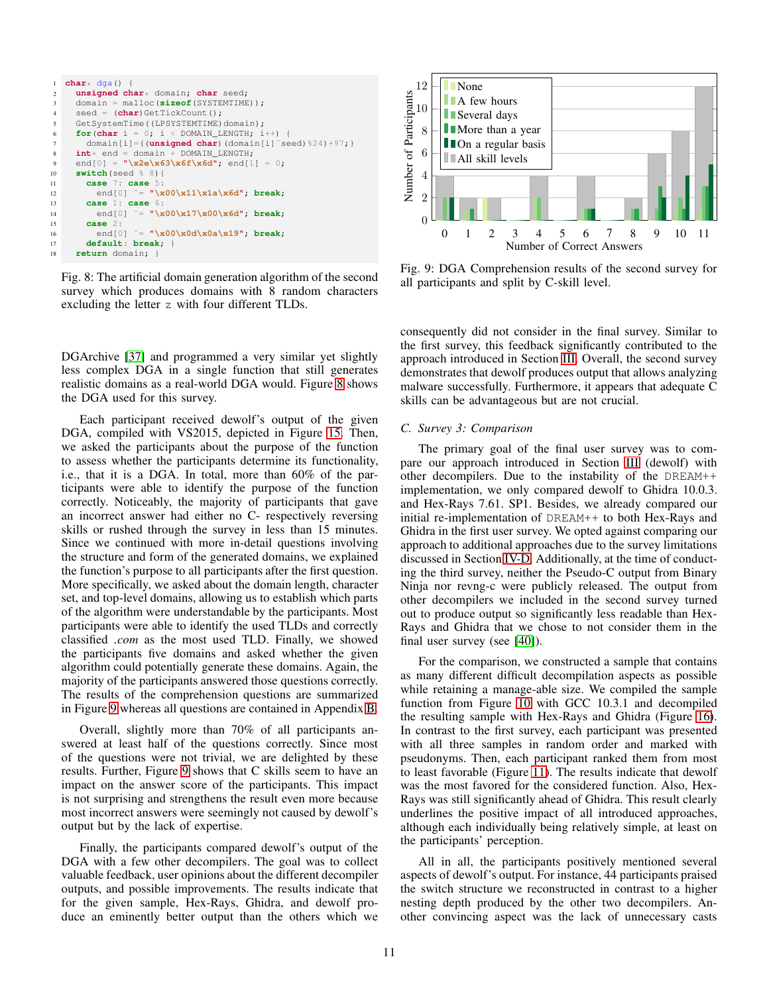```
1 char* dga() {
    2 unsigned char* domain; char seed;
3 domain = malloc(sizeof(SYSTEMTIME));
4 seed = (char)GetTickCount();
5 GetSystemTime((LPSYSTEMTIME)domain);
for(char i = 0; i < DOMAIN_LENGTH; i+1) {
7 domain[i]=((unsigned char)(domain[i]^seed)%24)+97;}
 8 int* end = domain + DOMAIN_LENGTH;
9 end[0] = "\x2e\x63\x6f\x6d"; end[1] = 0;
10 switch(seed % 8){
11 case 7: case 5:
12 end[0] ˆ= "\x00\x11\x1a\x6d"; break;
13 case 1: case 6:
14 end[0] ˆ= "\x00\x17\x00\x6d"; break;
15 case 2:
16 end[0] ˆ= "\x00\x0d\x0a\x19"; break;
17 default: break; }
18 return domain; }
```
Fig. 8: The artificial domain generation algorithm of the second survey which produces domains with 8 random characters excluding the letter z with four different TLDs.

DGArchive [\[37\]](#page-13-45) and programmed a very similar yet slightly less complex DGA in a single function that still generates realistic domains as a real-world DGA would. Figure [8](#page-10-0) shows the DGA used for this survey.

Each participant received dewolf's output of the given DGA, compiled with VS2015, depicted in Figure [15.](#page-15-0) Then, we asked the participants about the purpose of the function to assess whether the participants determine its functionality, i.e., that it is a DGA. In total, more than 60% of the participants were able to identify the purpose of the function correctly. Noticeably, the majority of participants that gave an incorrect answer had either no C- respectively reversing skills or rushed through the survey in less than 15 minutes. Since we continued with more in-detail questions involving the structure and form of the generated domains, we explained the function's purpose to all participants after the first question. More specifically, we asked about the domain length, character set, and top-level domains, allowing us to establish which parts of the algorithm were understandable by the participants. Most participants were able to identify the used TLDs and correctly classified *.com* as the most used TLD. Finally, we showed the participants five domains and asked whether the given algorithm could potentially generate these domains. Again, the majority of the participants answered those questions correctly. The results of the comprehension questions are summarized in Figure [9](#page-10-1) whereas all questions are contained in Appendix [B.](#page-14-3)

Overall, slightly more than 70% of all participants answered at least half of the questions correctly. Since most of the questions were not trivial, we are delighted by these results. Further, Figure [9](#page-10-1) shows that C skills seem to have an impact on the answer score of the participants. This impact is not surprising and strengthens the result even more because most incorrect answers were seemingly not caused by dewolf's output but by the lack of expertise.

Finally, the participants compared dewolf's output of the DGA with a few other decompilers. The goal was to collect valuable feedback, user opinions about the different decompiler outputs, and possible improvements. The results indicate that for the given sample, Hex-Rays, Ghidra, and dewolf produce an eminently better output than the others which we

<span id="page-10-1"></span>

Fig. 9: DGA Comprehension results of the second survey for all participants and split by C-skill level.

consequently did not consider in the final survey. Similar to the first survey, this feedback significantly contributed to the approach introduced in Section [III.](#page-2-1) Overall, the second survey demonstrates that dewolf produces output that allows analyzing malware successfully. Furthermore, it appears that adequate C skills can be advantageous but are not crucial.

# *C. Survey 3: Comparison*

The primary goal of the final user survey was to compare our approach introduced in Section [III](#page-2-1) (dewolf) with other decompilers. Due to the instability of the DREAM++ implementation, we only compared dewolf to Ghidra 10.0.3. and Hex-Rays 7.61. SP1. Besides, we already compared our initial re-implementation of DREAM++ to both Hex-Rays and Ghidra in the first user survey. We opted against comparing our approach to additional approaches due to the survey limitations discussed in Section [IV-D.](#page-11-0) Additionally, at the time of conducting the third survey, neither the Pseudo-C output from Binary Ninja nor revng-c were publicly released. The output from other decompilers we included in the second survey turned out to produce output so significantly less readable than Hex-Rays and Ghidra that we chose to not consider them in the final user survey (see [\[40\]](#page-13-1)).

For the comparison, we constructed a sample that contains as many different difficult decompilation aspects as possible while retaining a manage-able size. We compiled the sample function from Figure [10](#page-11-1) with GCC 10.3.1 and decompiled the resulting sample with Hex-Rays and Ghidra (Figure [16\)](#page-16-0). In contrast to the first survey, each participant was presented with all three samples in random order and marked with pseudonyms. Then, each participant ranked them from most to least favorable (Figure [11\)](#page-11-2). The results indicate that dewolf was the most favored for the considered function. Also, Hex-Rays was still significantly ahead of Ghidra. This result clearly underlines the positive impact of all introduced approaches, although each individually being relatively simple, at least on the participants' perception.

All in all, the participants positively mentioned several aspects of dewolf's output. For instance, 44 participants praised the switch structure we reconstructed in contrast to a higher nesting depth produced by the other two decompilers. Another convincing aspect was the lack of unnecessary casts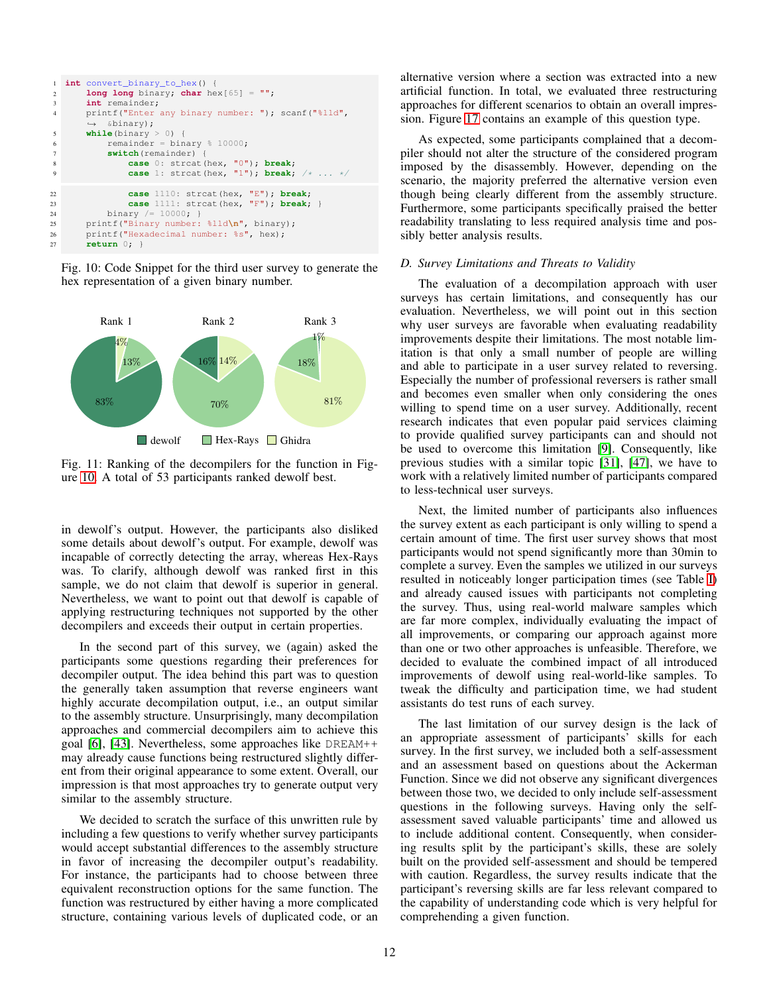```
1 int convert_binary_to_hex() {
2 long long binary; char hex[65] = "";
3 int remainder;
4 printf("Enter any binary number: "); scanf("%lld",
          ֒→ &binary);
5 \text{while}(\text{binary} > 0) {
6 remainder = binary % 10000;
7 switch(remainder) {
8 case 0: strcat(hex, "0"); break;
9 case 1: strcat(hex, "1"); break;
22 case 1110: strcat(hex, "E"); break;
23 case 1111: strcat(hex, "F"); break; }
24 binary /= 10000; }
25 printf("Binary number: %lld\n", binary);
26 printf("Hexadecimal number: %s", hex);
27 return 0; }
```
Fig. 10: Code Snippet for the third user survey to generate the hex representation of a given binary number.

<span id="page-11-2"></span>

Fig. 11: Ranking of the decompilers for the function in Figure [10.](#page-11-1) A total of 53 participants ranked dewolf best.

in dewolf's output. However, the participants also disliked some details about dewolf's output. For example, dewolf was incapable of correctly detecting the array, whereas Hex-Rays was. To clarify, although dewolf was ranked first in this sample, we do not claim that dewolf is superior in general. Nevertheless, we want to point out that dewolf is capable of applying restructuring techniques not supported by the other decompilers and exceeds their output in certain properties.

In the second part of this survey, we (again) asked the participants some questions regarding their preferences for decompiler output. The idea behind this part was to question the generally taken assumption that reverse engineers want highly accurate decompilation output, i.e., an output similar to the assembly structure. Unsurprisingly, many decompilation approaches and commercial decompilers aim to achieve this goal [\[6\]](#page-13-3), [\[43\]](#page-13-4). Nevertheless, some approaches like DREAM++ may already cause functions being restructured slightly different from their original appearance to some extent. Overall, our impression is that most approaches try to generate output very similar to the assembly structure.

We decided to scratch the surface of this unwritten rule by including a few questions to verify whether survey participants would accept substantial differences to the assembly structure in favor of increasing the decompiler output's readability. For instance, the participants had to choose between three equivalent reconstruction options for the same function. The function was restructured by either having a more complicated structure, containing various levels of duplicated code, or an alternative version where a section was extracted into a new artificial function. In total, we evaluated three restructuring approaches for different scenarios to obtain an overall impression. Figure [17](#page-16-1) contains an example of this question type.

As expected, some participants complained that a decompiler should not alter the structure of the considered program imposed by the disassembly. However, depending on the scenario, the majority preferred the alternative version even though being clearly different from the assembly structure. Furthermore, some participants specifically praised the better readability translating to less required analysis time and possibly better analysis results.

### <span id="page-11-0"></span>*D. Survey Limitations and Threats to Validity*

The evaluation of a decompilation approach with user surveys has certain limitations, and consequently has our evaluation. Nevertheless, we will point out in this section why user surveys are favorable when evaluating readability improvements despite their limitations. The most notable limitation is that only a small number of people are willing and able to participate in a user survey related to reversing. Especially the number of professional reversers is rather small and becomes even smaller when only considering the ones willing to spend time on a user survey. Additionally, recent research indicates that even popular paid services claiming to provide qualified survey participants can and should not be used to overcome this limitation [\[9\]](#page-13-47). Consequently, like previous studies with a similar topic [\[31\]](#page-13-9), [\[47\]](#page-13-7), we have to work with a relatively limited number of participants compared to less-technical user surveys.

Next, the limited number of participants also influences the survey extent as each participant is only willing to spend a certain amount of time. The first user survey shows that most participants would not spend significantly more than 30min to complete a survey. Even the samples we utilized in our surveys resulted in noticeably longer participation times (see Table [I\)](#page-8-0) and already caused issues with participants not completing the survey. Thus, using real-world malware samples which are far more complex, individually evaluating the impact of all improvements, or comparing our approach against more than one or two other approaches is unfeasible. Therefore, we decided to evaluate the combined impact of all introduced improvements of dewolf using real-world-like samples. To tweak the difficulty and participation time, we had student assistants do test runs of each survey.

The last limitation of our survey design is the lack of an appropriate assessment of participants' skills for each survey. In the first survey, we included both a self-assessment and an assessment based on questions about the Ackerman Function. Since we did not observe any significant divergences between those two, we decided to only include self-assessment questions in the following surveys. Having only the selfassessment saved valuable participants' time and allowed us to include additional content. Consequently, when considering results split by the participant's skills, these are solely built on the provided self-assessment and should be tempered with caution. Regardless, the survey results indicate that the participant's reversing skills are far less relevant compared to the capability of understanding code which is very helpful for comprehending a given function.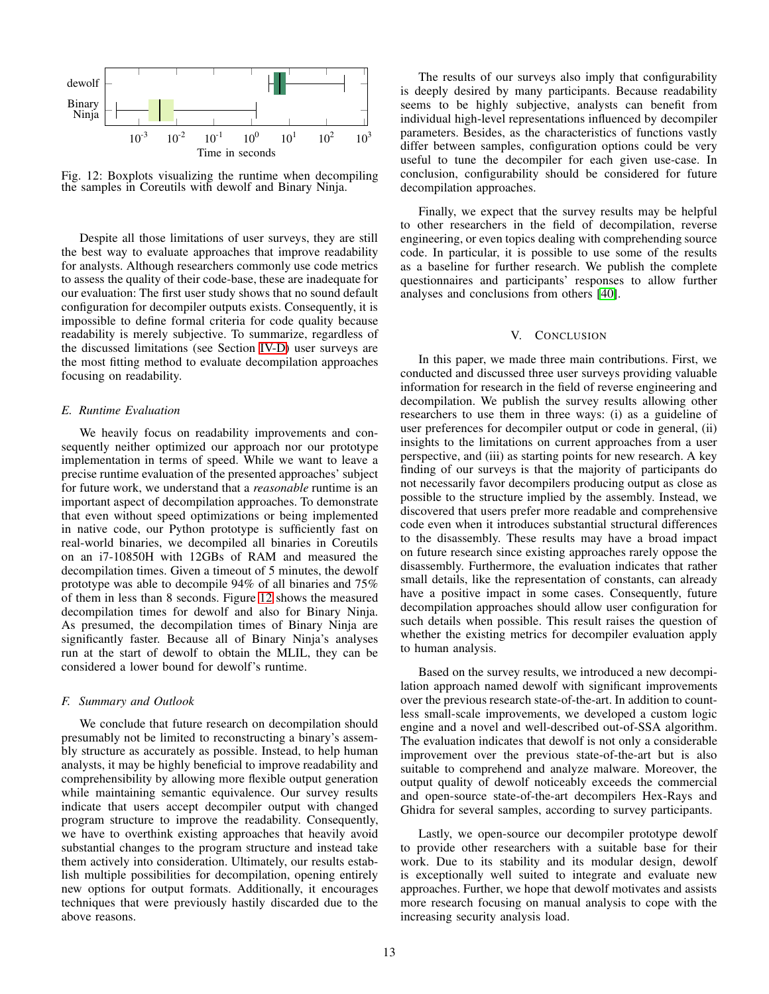<span id="page-12-0"></span>

Fig. 12: Boxplots visualizing the runtime when decompiling the samples in Coreutils with dewolf and Binary Ninja.

Despite all those limitations of user surveys, they are still the best way to evaluate approaches that improve readability for analysts. Although researchers commonly use code metrics to assess the quality of their code-base, these are inadequate for our evaluation: The first user study shows that no sound default configuration for decompiler outputs exists. Consequently, it is impossible to define formal criteria for code quality because readability is merely subjective. To summarize, regardless of the discussed limitations (see Section [IV-D\)](#page-11-0) user surveys are the most fitting method to evaluate decompilation approaches focusing on readability.

#### *E. Runtime Evaluation*

We heavily focus on readability improvements and consequently neither optimized our approach nor our prototype implementation in terms of speed. While we want to leave a precise runtime evaluation of the presented approaches' subject for future work, we understand that a *reasonable* runtime is an important aspect of decompilation approaches. To demonstrate that even without speed optimizations or being implemented in native code, our Python prototype is sufficiently fast on real-world binaries, we decompiled all binaries in Coreutils on an i7-10850H with 12GBs of RAM and measured the decompilation times. Given a timeout of 5 minutes, the dewolf prototype was able to decompile 94% of all binaries and 75% of them in less than 8 seconds. Figure [12](#page-12-0) shows the measured decompilation times for dewolf and also for Binary Ninja. As presumed, the decompilation times of Binary Ninja are significantly faster. Because all of Binary Ninja's analyses run at the start of dewolf to obtain the MLIL, they can be considered a lower bound for dewolf's runtime.

# *F. Summary and Outlook*

We conclude that future research on decompilation should presumably not be limited to reconstructing a binary's assembly structure as accurately as possible. Instead, to help human analysts, it may be highly beneficial to improve readability and comprehensibility by allowing more flexible output generation while maintaining semantic equivalence. Our survey results indicate that users accept decompiler output with changed program structure to improve the readability. Consequently, we have to overthink existing approaches that heavily avoid substantial changes to the program structure and instead take them actively into consideration. Ultimately, our results establish multiple possibilities for decompilation, opening entirely new options for output formats. Additionally, it encourages techniques that were previously hastily discarded due to the above reasons.

The results of our surveys also imply that configurability is deeply desired by many participants. Because readability seems to be highly subjective, analysts can benefit from individual high-level representations influenced by decompiler parameters. Besides, as the characteristics of functions vastly differ between samples, configuration options could be very useful to tune the decompiler for each given use-case. In conclusion, configurability should be considered for future decompilation approaches.

Finally, we expect that the survey results may be helpful to other researchers in the field of decompilation, reverse engineering, or even topics dealing with comprehending source code. In particular, it is possible to use some of the results as a baseline for further research. We publish the complete questionnaires and participants' responses to allow further analyses and conclusions from others [\[40\]](#page-13-1).

# V. CONCLUSION

In this paper, we made three main contributions. First, we conducted and discussed three user surveys providing valuable information for research in the field of reverse engineering and decompilation. We publish the survey results allowing other researchers to use them in three ways: (i) as a guideline of user preferences for decompiler output or code in general, (ii) insights to the limitations on current approaches from a user perspective, and (iii) as starting points for new research. A key finding of our surveys is that the majority of participants do not necessarily favor decompilers producing output as close as possible to the structure implied by the assembly. Instead, we discovered that users prefer more readable and comprehensive code even when it introduces substantial structural differences to the disassembly. These results may have a broad impact on future research since existing approaches rarely oppose the disassembly. Furthermore, the evaluation indicates that rather small details, like the representation of constants, can already have a positive impact in some cases. Consequently, future decompilation approaches should allow user configuration for such details when possible. This result raises the question of whether the existing metrics for decompiler evaluation apply to human analysis.

Based on the survey results, we introduced a new decompilation approach named dewolf with significant improvements over the previous research state-of-the-art. In addition to countless small-scale improvements, we developed a custom logic engine and a novel and well-described out-of-SSA algorithm. The evaluation indicates that dewolf is not only a considerable improvement over the previous state-of-the-art but is also suitable to comprehend and analyze malware. Moreover, the output quality of dewolf noticeably exceeds the commercial and open-source state-of-the-art decompilers Hex-Rays and Ghidra for several samples, according to survey participants.

Lastly, we open-source our decompiler prototype dewolf to provide other researchers with a suitable base for their work. Due to its stability and its modular design, dewolf is exceptionally well suited to integrate and evaluate new approaches. Further, we hope that dewolf motivates and assists more research focusing on manual analysis to cope with the increasing security analysis load.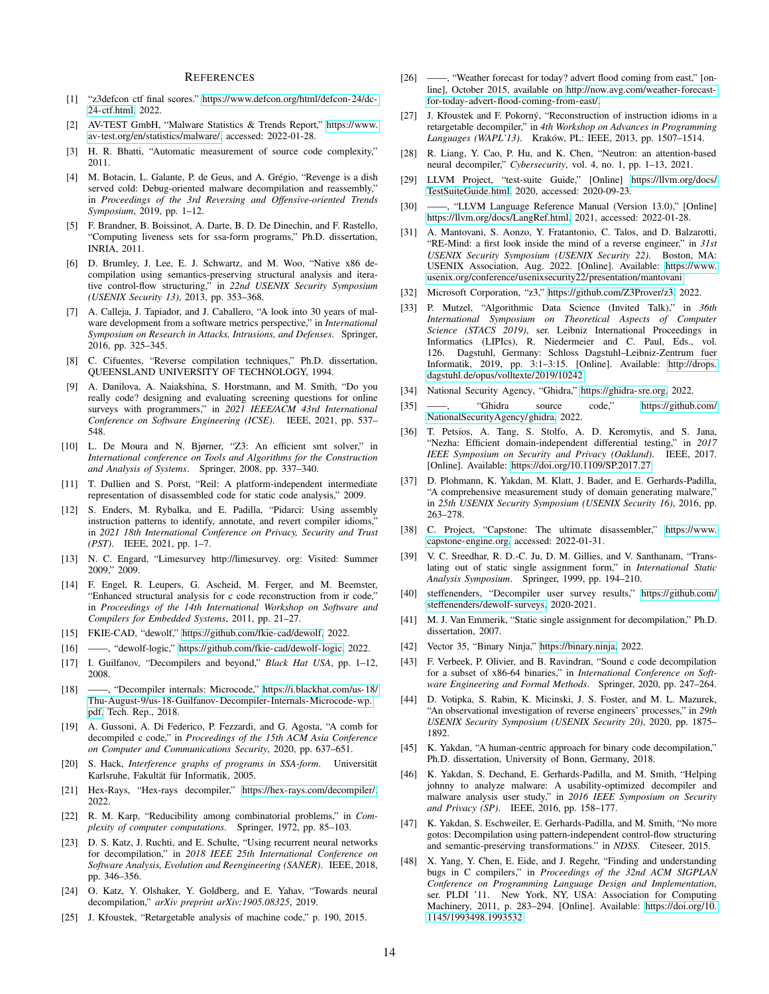#### **REFERENCES**

- <span id="page-13-8"></span>[1] "z3defcon ctf final scores." [https://www.defcon.org/html/defcon-24/dc-](https://www.defcon. org/html/defcon-24/dc-24-ctf.html)[24-ctf.html,](https://www.defcon. org/html/defcon-24/dc-24-ctf.html) 2022.
- <span id="page-13-2"></span>[2] AV-TEST GmbH, "Malware Statistics & Trends Report," [https://www.](https://www.av-test.org/en/statistics/malware/) [av-test.org/en/statistics/malware/,](https://www.av-test.org/en/statistics/malware/) accessed: 2022-01-28.
- <span id="page-13-43"></span>[3] H. R. Bhatti, "Automatic measurement of source code complexity," 2011.
- <span id="page-13-18"></span>[4] M. Botacin, L. Galante, P. de Geus, and A. Grégio, "Revenge is a dish served cold: Debug-oriented malware decompilation and reassembly," in *Proceedings of the 3rd Reversing and Offensive-oriented Trends Symposium*, 2019, pp. 1–12.
- <span id="page-13-32"></span>[5] F. Brandner, B. Boissinot, A. Darte, B. D. De Dinechin, and F. Rastello, "Computing liveness sets for ssa-form programs," Ph.D. dissertation, INRIA, 2011.
- <span id="page-13-3"></span>[6] D. Brumley, J. Lee, E. J. Schwartz, and M. Woo, "Native x86 decompilation using semantics-preserving structural analysis and iterative control-flow structuring," in *22nd USENIX Security Symposium (USENIX Security 13)*, 2013, pp. 353–368.
- <span id="page-13-46"></span>[7] A. Calleja, J. Tapiador, and J. Caballero, "A look into 30 years of malware development from a software metrics perspective," in *International Symposium on Research in Attacks, Intrusions, and Defenses*. Springer, 2016, pp. 325–345.
- <span id="page-13-10"></span>[8] C. Cifuentes, "Reverse compilation techniques," Ph.D. dissertation, QUEENSLAND UNIVERSITY OF TECHNOLOGY, 1994.
- <span id="page-13-47"></span>[9] A. Danilova, A. Naiakshina, S. Horstmann, and M. Smith, "Do you really code? designing and evaluating screening questions for online surveys with programmers," in *2021 IEEE/ACM 43rd International Conference on Software Engineering (ICSE)*. IEEE, 2021, pp. 537– 548.
- <span id="page-13-35"></span>[10] L. De Moura and N. Bjørner, "Z3: An efficient smt solver," in *International conference on Tools and Algorithms for the Construction and Analysis of Systems*. Springer, 2008, pp. 337–340.
- <span id="page-13-30"></span>[11] T. Dullien and S. Porst, "Reil: A platform-independent intermediate representation of disassembled code for static code analysis," 2009.
- <span id="page-13-33"></span>[12] S. Enders, M. Rybalka, and E. Padilla, "Pidarci: Using assembly instruction patterns to identify, annotate, and revert compiler idioms, in *2021 18th International Conference on Privacy, Security and Trust (PST)*. IEEE, 2021, pp. 1–7.
- <span id="page-13-44"></span>[13] N. C. Engard, "Limesurvey http://limesurvey. org: Visited: Summer 2009," 2009.
- <span id="page-13-19"></span>[14] F. Engel, R. Leupers, G. Ascheid, M. Ferger, and M. Beemster, "Enhanced structural analysis for c code reconstruction from ir code," in *Proceedings of the 14th International Workshop on Software and Compilers for Embedded Systems*, 2011, pp. 21–27.
- <span id="page-13-0"></span>[15] FKIE-CAD, "dewolf," [https://github.com/fkie-cad/dewolf,](https://github.com/fkie-cad/dewolf) 2022.
- <span id="page-13-37"></span><span id="page-13-22"></span>[16] ——, "dewolf-logic," [https://github.com/fkie-cad/dewolf-logic,](https://github.com/fkie-cad/dewolf-logic) 2022.
- [17] I. Guilfanov, "Decompilers and beyond," *Black Hat USA*, pp. 1–12, 2008.
- <span id="page-13-23"></span>[18] ——, "Decompiler internals: Microcode," [https://i.blackhat.com/us-18/](https://i.blackhat.com/us-18/Thu-August-9/us-18-Guilfanov-Decompiler-Internals-Microcode-wp.pdf) [Thu-August-9/us-18-Guilfanov-Decompiler- Internals-Microcode-wp.](https://i.blackhat.com/us-18/Thu-August-9/us-18-Guilfanov-Decompiler-Internals-Microcode-wp.pdf) [pdf,](https://i.blackhat.com/us-18/Thu-August-9/us-18-Guilfanov-Decompiler-Internals-Microcode-wp.pdf) Tech. Rep., 2018.
- <span id="page-13-6"></span>[19] A. Gussoni, A. Di Federico, P. Fezzardi, and G. Agosta, "A comb for decompiled c code," in *Proceedings of the 15th ACM Asia Conference on Computer and Communications Security*, 2020, pp. 637–651.
- <span id="page-13-39"></span>[20] S. Hack, *Interference graphs of programs in SSA-form*. Universität Karlsruhe, Fakultät für Informatik, 2005.
- <span id="page-13-21"></span>[21] Hex-Rays, "Hex-rays decompiler," [https://hex-rays.com/decompiler/,](https://hex-rays.com/decompiler/) 2022.
- <span id="page-13-38"></span>[22] R. M. Karp, "Reducibility among combinatorial problems," in *Complexity of computer computations*. Springer, 1972, pp. 85–103.
- <span id="page-13-26"></span>[23] D. S. Katz, J. Ruchti, and E. Schulte, "Using recurrent neural networks for decompilation," in *2018 IEEE 25th International Conference on Software Analysis, Evolution and Reengineering (SANER)*. IEEE, 2018, pp. 346–356.
- <span id="page-13-27"></span>[24] O. Katz, Y. Olshaker, Y. Goldberg, and E. Yahav, "Towards neural decompilation," *arXiv preprint arXiv:1905.08325*, 2019.
- <span id="page-13-16"></span>[25] J. Křoustek, "Retargetable analysis of machine code," p. 190, 2015.
- <span id="page-13-13"></span>[26] ——, "Weather forecast for today? advert flood coming from east," [online], October 2015, available on [http://now.avg.com/weather- forecast](http://now.avg.com/weather-forecast-for-today-advert-flood-coming-from-east/)[for-today-advert-flood-coming-from-east/.](http://now.avg.com/weather-forecast-for-today-advert-flood-coming-from-east/)
- <span id="page-13-17"></span>[27] J. Křoustek and F. Pokorný, "Reconstruction of instruction idioms in a retargetable decompiler," in *4th Workshop on Advances in Programming Languages (WAPL'13)*. Kraków, PL: IEEE, 2013, pp. 1507-1514.
- <span id="page-13-28"></span>[28] R. Liang, Y. Cao, P. Hu, and K. Chen, "Neutron: an attention-based neural decompiler," *Cybersecurity*, vol. 4, no. 1, pp. 1–13, 2021.
- <span id="page-13-42"></span>[29] LLVM Project, "test-suite Guide," [Online] [https://llvm.org/docs/](https://llvm.org/docs/TestSuiteGuide.html) [TestSuiteGuide.html,](https://llvm.org/docs/TestSuiteGuide.html) 2020, accessed: 2020-09-23.
- <span id="page-13-15"></span>[30] ——, "LLVM Language Reference Manual (Version 13.0)," [Online] [https://llvm.org/docs/LangRef.html,](https://llvm.org/docs/LangRef.html) 2021, accessed: 2022-01-28.
- <span id="page-13-9"></span>[31] A. Mantovani, S. Aonzo, Y. Fratantonio, C. Talos, and D. Balzarotti, "RE-Mind: a first look inside the mind of a reverse engineer," in *31st USENIX Security Symposium (USENIX Security 22)*. Boston, MA: USENIX Association, Aug. 2022. [Online]. Available: [https://www.](https://www.usenix.org/conference/usenixsecurity22/presentation/mantovani) [usenix.org/conference/usenixsecurity22/presentation/mantovani](https://www.usenix.org/conference/usenixsecurity22/presentation/mantovani)
- <span id="page-13-36"></span><span id="page-13-34"></span>[32] Microsoft Corporation, "z3," [https://github.com/Z3Prover/z3,](https://github.com/Z3Prover/z3) 2022.
- [33] P. Mutzel, "Algorithmic Data Science (Invited Talk)," in *36th International Symposium on Theoretical Aspects of Computer Science (STACS 2019)*, ser. Leibniz International Proceedings in Informatics (LIPIcs), R. Niedermeier and C. Paul, Eds., vol. 126. Dagstuhl, Germany: Schloss Dagstuhl–Leibniz-Zentrum fuer Informatik, 2019, pp. 3:1–3:15. [Online]. Available: [http://drops.](http://drops.dagstuhl.de/opus/volltexte/2019/10242) [dagstuhl.de/opus/volltexte/2019/10242](http://drops.dagstuhl.de/opus/volltexte/2019/10242)
- <span id="page-13-25"></span><span id="page-13-24"></span>[34] National Security Agency, "Ghidra," [https://ghidra-sre.org,](https://ghidra-sre.org) 2022.
- [35] ——, "Ghidra source code," [https://github.com/](https://github.com/NationalSecurityAgency/ghidra) [NationalSecurityAgency/ghidra,](https://github.com/NationalSecurityAgency/ghidra) 2022.
- <span id="page-13-41"></span>[36] T. Petsios, A. Tang, S. Stolfo, A. D. Keromytis, and S. Jana, "Nezha: Efficient domain-independent differential testing," in *2017 IEEE Symposium on Security and Privacy (Oakland)*. IEEE, 2017. [Online]. Available:<https://doi.org/10.1109/SP.2017.27>
- <span id="page-13-45"></span>[37] D. Plohmann, K. Yakdan, M. Klatt, J. Bader, and E. Gerhards-Padilla, "A comprehensive measurement study of domain generating malware," in *25th USENIX Security Symposium (USENIX Security 16)*, 2016, pp. 263–278.
- <span id="page-13-14"></span>[38] C. Project, "Capstone: The ultimate disassembler," [https://www.](https://www.capstone-engine.org) [capstone-engine.org,](https://www.capstone-engine.org) accessed: 2022-01-31.
- <span id="page-13-12"></span>[39] V. C. Sreedhar, R. D.-C. Ju, D. M. Gillies, and V. Santhanam, "Translating out of static single assignment form," in *International Static Analysis Symposium*. Springer, 1999, pp. 194–210.
- <span id="page-13-1"></span>[40] steffenenders, "Decompiler user survey results," [https://github.com/](https://github.com/steffenenders/dewolf-surveys) [steffenenders/dewolf- surveys,](https://github.com/steffenenders/dewolf-surveys) 2020-2021.
- <span id="page-13-11"></span>[41] M. J. Van Emmerik, "Static single assignment for decompilation," Ph.D. dissertation, 2007.
- <span id="page-13-31"></span><span id="page-13-4"></span>[42] Vector 35, "Binary Ninja," [https://binary.ninja,](https://binary.ninja) 2022.
- [43] F. Verbeek, P. Olivier, and B. Ravindran, "Sound c code decompilation for a subset of x86-64 binaries," in *International Conference on Software Engineering and Formal Methods*. Springer, 2020, pp. 247–264.
- <span id="page-13-5"></span>[44] D. Votipka, S. Rabin, K. Micinski, J. S. Foster, and M. L. Mazurek, "An observational investigation of reverse engineers' processes," in *29th USENIX Security Symposium (USENIX Security 20)*, 2020, pp. 1875– 1892.
- <span id="page-13-20"></span>[45] K. Yakdan, "A human-centric approach for binary code decompilation," Ph.D. dissertation, University of Bonn, Germany, 2018.
- <span id="page-13-29"></span>[46] K. Yakdan, S. Dechand, E. Gerhards-Padilla, and M. Smith, "Helping johnny to analyze malware: A usability-optimized decompiler and malware analysis user study," in *2016 IEEE Symposium on Security and Privacy (SP)*. IEEE, 2016, pp. 158–177.
- <span id="page-13-7"></span>[47] K. Yakdan, S. Eschweiler, E. Gerhards-Padilla, and M. Smith, "No more gotos: Decompilation using pattern-independent control-flow structuring and semantic-preserving transformations." in *NDSS*. Citeseer, 2015.
- <span id="page-13-40"></span>[48] X. Yang, Y. Chen, E. Eide, and J. Regehr, "Finding and understanding bugs in C compilers," in *Proceedings of the 32nd ACM SIGPLAN Conference on Programming Language Design and Implementation*, ser. PLDI '11. New York, NY, USA: Association for Computing Machinery, 2011, p. 283–294. [Online]. Available: [https://doi.org/10.](https://doi.org/10.1145/1993498.1993532) [1145/1993498.1993532](https://doi.org/10.1145/1993498.1993532)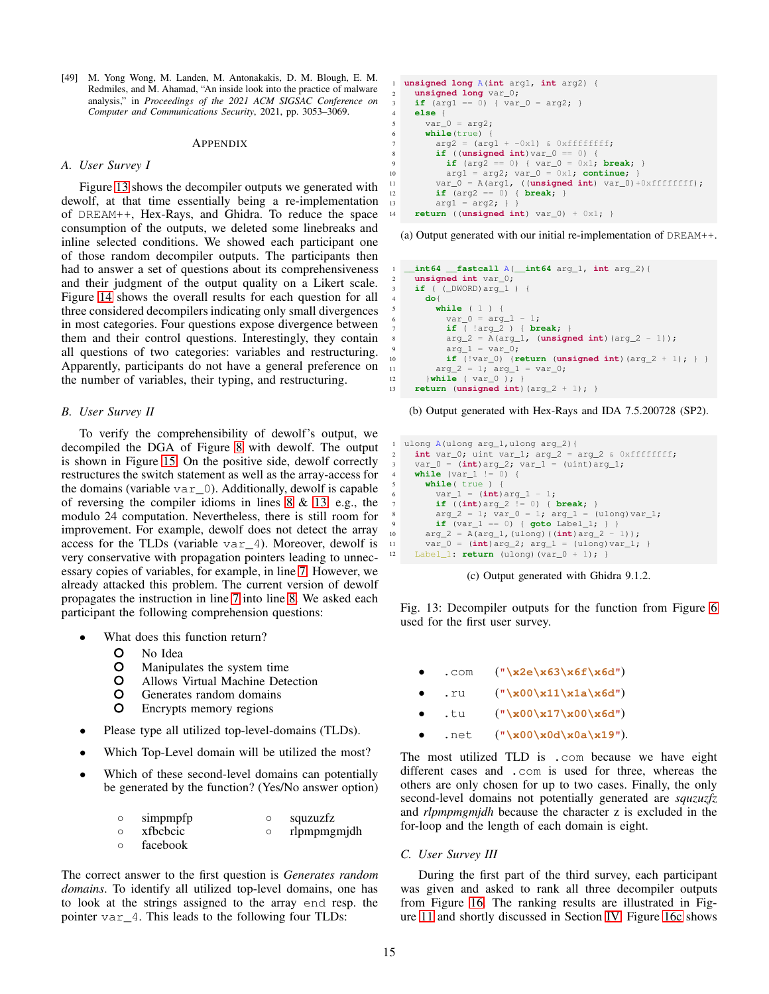<span id="page-14-0"></span>[49] M. Yong Wong, M. Landen, M. Antonakakis, D. M. Blough, E. M. Redmiles, and M. Ahamad, "An inside look into the practice of malware analysis," in *Proceedings of the 2021 ACM SIGSAC Conference on Computer and Communications Security*, 2021, pp. 3053–3069.

#### <span id="page-14-1"></span>APPENDIX

#### <span id="page-14-2"></span>*A. User Survey I*

Figure [13](#page-14-4) shows the decompiler outputs we generated with dewolf, at that time essentially being a re-implementation of DREAM++, Hex-Rays, and Ghidra. To reduce the space consumption of the outputs, we deleted some linebreaks and inline selected conditions. We showed each participant one of those random decompiler outputs. The participants then had to answer a set of questions about its comprehensiveness and their judgment of the output quality on a Likert scale. Figure [14](#page-15-1) shows the overall results for each question for all three considered decompilers indicating only small divergences in most categories. Four questions expose divergence between them and their control questions. Interestingly, they contain all questions of two categories: variables and restructuring. Apparently, participants do not have a general preference on the number of variables, their typing, and restructuring.

# <span id="page-14-3"></span>*B. User Survey II*

To verify the comprehensibility of dewolf's output, we decompiled the DGA of Figure [8](#page-10-0) with dewolf. The output is shown in Figure [15.](#page-15-0) On the positive side, dewolf correctly restructures the switch statement as well as the array-access for the domains (variable var\_0). Additionally, dewolf is capable of reversing the compiler idioms in lines [8](#page-15-0) & [13,](#page-15-0) e.g., the modulo 24 computation. Nevertheless, there is still room for improvement. For example, dewolf does not detect the array access for the TLDs (variable var\_4). Moreover, dewolf is very conservative with propagation pointers leading to unnecessary copies of variables, for example, in line [7.](#page-15-0) However, we already attacked this problem. The current version of dewolf propagates the instruction in line [7](#page-15-0) into line [8.](#page-15-0) We asked each participant the following comprehension questions:

- What does this function return?
	- O No Idea
	- $\circ$ Manipulates the system time
	- $\circ$ Allows Virtual Machine Detection
	- $\Omega$ Generates random domains
	- $\circ$ Encrypts memory regions
- Please type all utilized top-level-domains (TLDs).
- Which Top-Level domain will be utilized the most?
- Which of these second-level domains can potentially be generated by the function? (Yes/No answer option)

| $\circ$ | simpmpfp         | Ο | squzuzfz    |
|---------|------------------|---|-------------|
| $\circ$ | <i>x</i> thchcic | O | rlpmpmgmjdh |
| $\circ$ | facebook         |   |             |

The correct answer to the first question is *Generates random domains*. To identify all utilized top-level domains, one has to look at the strings assigned to the array end resp. the pointer var\_4. This leads to the following four TLDs:

```
1 unsigned long A(int arg1, int arg2) {
2 unsigned long var_0;
3 if (arg1 == 0) { var 0 = \arg2; }
     4 else {
       var_0 = arg2;while(true) {
         arg2 = (arg1 + -0x1) & 0xffffffff;
         8 if ((unsigned int)var_0 == 0) {
9 if (arg2 == 0) { var_0 = 0x1; break; }
10 arg1 = arg2; var_0 = 0x1; continue; }
11 var_0 = A(arg1, ((unsigned int) var_0)+0xffffffff);
12 if (arg2 == 0) { break; }
13 \arg 1 = \arg 2; \}14 return ((unsigned int) var_0) + 0x1; }
```
(a) Output generated with our initial re-implementation of DREAM++.

```
1 __int64 __fastcall A(__int64 arg_1, int arg_2){
     unsigned int var_0;
     if ( (DWORD)arg_1 )
       4 do{
         5 while ( 1 ) {
           var_0 = arg_1 - 1;if ( <math>arg_2</math>) { <b>break</b>; }arg_2 = A(arg_1, (unsigned int) (arg_2 - 1));arg 1 = var 0;10 if (!var_0) {return (unsigned int)(arg_2 + 1); } }
11 arg_2 = 1; arg_1 = var_0;12 } while ( var 0 ); }
13 return (unsigned int)(arg_2 + 1); }
```
(b) Output generated with Hex-Rays and IDA 7.5.200728 (SP2).

```
ulong A(ulong arg_1,ulong arg_2){
     int var_0; uint var_1; arg_2 = arg_2 & 0xffffffff;
     var_0 = (int)arg_2; var_1 = (uint)arg_1;while (var_1 != 0) {
       5 while( true ) {
 6 var_1 = (int) arg_1 - 1;7 if ((int)arg_2 != 0) { break; }
         arg_2 = 1; var_0 = 1; arg_1 = (ulong)var_1;9 if (var_1 == 0) { goto Label_1; } }
10 arg_2 = A(arg_1,(ulong)((int)arg_2 - 1));
11 var_0 = (int)arg_2; arg_1 = (ulong)var_1; }
12 Label_1: return (ulong)(var_0 + 1); }
```


Fig. 13: Decompiler outputs for the function from Figure [6](#page-9-0) used for the first user survey.

- .com ("**\x2e\x63\x6f\x6d**")
- .ru ("**\x00\x11\x1a\x6d**")
- .tu ("**\x00\x17\x00\x6d**")
- .net ("**\x00\x0d\x0a\x19**").

The most utilized TLD is .com because we have eight different cases and .com is used for three, whereas the others are only chosen for up to two cases. Finally, the only second-level domains not potentially generated are *squzuzfz* and *rlpmpmgmjdh* because the character z is excluded in the for-loop and the length of each domain is eight.

#### *C. User Survey III*

During the first part of the third survey, each participant was given and asked to rank all three decompiler outputs from Figure [16.](#page-16-0) The ranking results are illustrated in Figure [11](#page-11-2) and shortly discussed in Section [IV.](#page-7-1) Figure [16c](#page-16-0) shows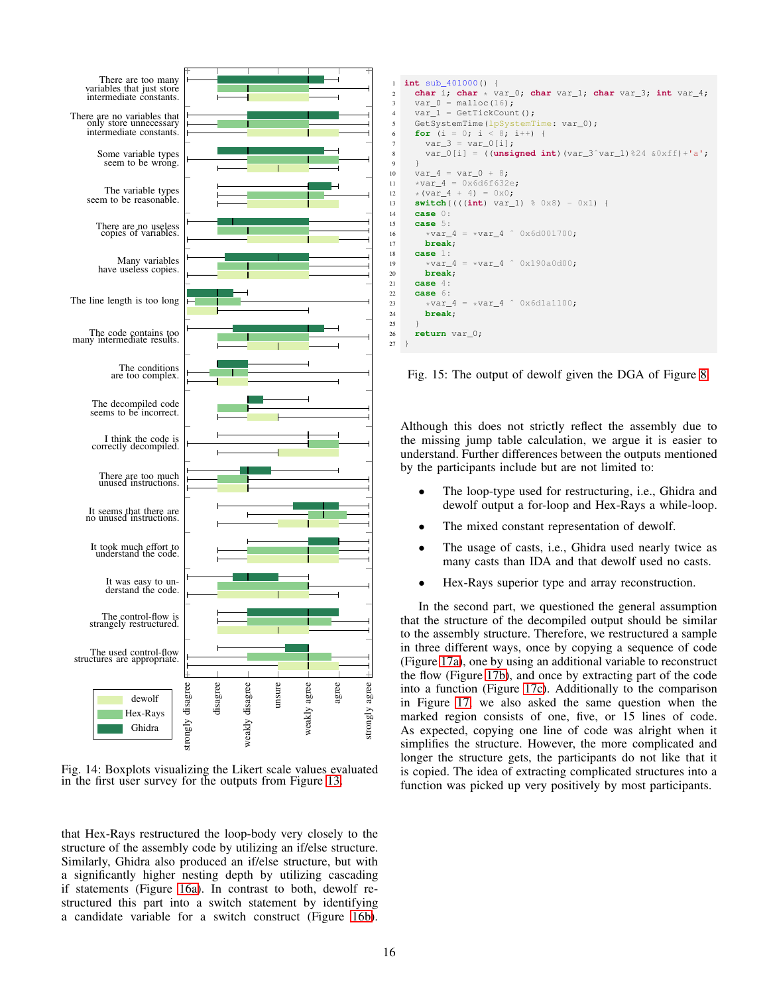<span id="page-15-1"></span>

Fig. 14: Boxplots visualizing the Likert scale values evaluated in the first user survey for the outputs from Figure [13.](#page-14-4)

that Hex-Rays restructured the loop-body very closely to the structure of the assembly code by utilizing an if/else structure. Similarly, Ghidra also produced an if/else structure, but with a significantly higher nesting depth by utilizing cascading if statements (Figure [16a\)](#page-16-0). In contrast to both, dewolf restructured this part into a switch statement by identifying a candidate variable for a switch construct (Figure [16b\)](#page-16-0).

```
1 int sub_401000() {
2 char i; char * var_0; char var_1; char var_3; int var_4;
 3 var_0 = malloc(16);var_1 = \text{GetTickCount}();
 5 GetSystemTime(lpSystemTime: var_0);
 6 for (i = 0; i < 8; i++)7 var_3 = var_0[i];8 var_0[i] = ((unsigned int)(var_3ˆvar_1)%24 &0xff)+'a';
 9 }
10 var 4 = \text{var } 0 + 8;
11 \times \text{var}_4 = 0 \times 6 \text{d} 6 \text{f} 6 \text{d} 32 \text{e};<br>12 \times (\text{var}_4 + 4) = 0 \times 0;
12 *(\text{var}_4 + 4) = 0 \times 0;<br>13 switch ((((int) var
       13 switch((((int) var_1) % 0x8) - 0x1) {
14 case 0:
15 case 5:
16 *var_4 = *var_4 \text{ or } var_4 \text{ or } var_6 = 1717 break;
18 case 1:
19 *var_4 = *var_4 \text{ or } var_4 \text{ or } var_4<br>20 break:
         20 break;
21 case 4:
22 case 6:
\begin{array}{rcl}\n & \text{*var}_4 = \text{*var}_4 \text{ }^{\circ} & 0 \text{x6d1a1100}; \\
 & \text{break}: & \n\end{array}break;
2526 return var_0;
   \}
```
Fig. 15: The output of dewolf given the DGA of Figure [8.](#page-10-0)

Although this does not strictly reflect the assembly due to the missing jump table calculation, we argue it is easier to understand. Further differences between the outputs mentioned by the participants include but are not limited to:

- The loop-type used for restructuring, i.e., Ghidra and dewolf output a for-loop and Hex-Rays a while-loop.
- The mixed constant representation of dewolf.
- The usage of casts, i.e., Ghidra used nearly twice as many casts than IDA and that dewolf used no casts.
- Hex-Rays superior type and array reconstruction.

In the second part, we questioned the general assumption that the structure of the decompiled output should be similar to the assembly structure. Therefore, we restructured a sample in three different ways, once by copying a sequence of code (Figure [17a\)](#page-16-1), one by using an additional variable to reconstruct the flow (Figure [17b\)](#page-16-1), and once by extracting part of the code into a function (Figure [17c\)](#page-16-1). Additionally to the comparison in Figure [17,](#page-16-1) we also asked the same question when the marked region consists of one, five, or 15 lines of code. As expected, copying one line of code was alright when it simplifies the structure. However, the more complicated and longer the structure gets, the participants do not like that it is copied. The idea of extracting complicated structures into a function was picked up very positively by most participants.